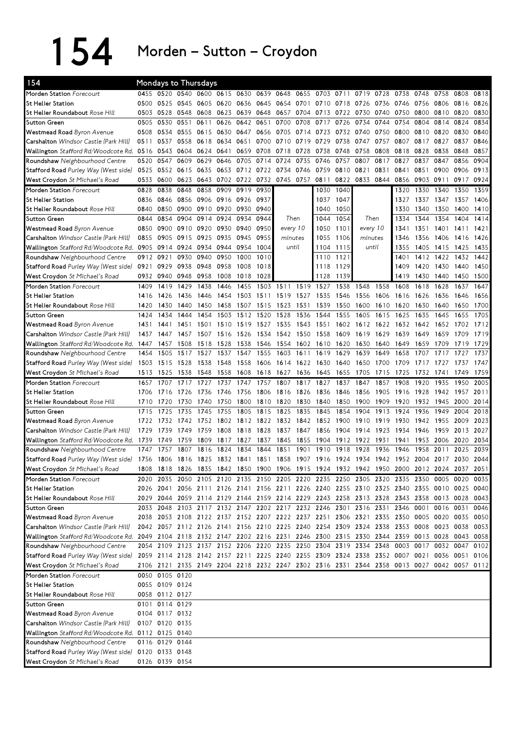154 Morden–Sutton–Croydon

| 154                                                                                                                            | Mondays to Thursdays |                |      |      |           |                     |      |           |      |      |      |                                                                                           |      |      |           |                |           |      |
|--------------------------------------------------------------------------------------------------------------------------------|----------------------|----------------|------|------|-----------|---------------------|------|-----------|------|------|------|-------------------------------------------------------------------------------------------|------|------|-----------|----------------|-----------|------|
| Morden Station Forecourt                                                                                                       |                      | 0455 0520      | 0540 |      |           | 0600 0615 0630 0639 |      | 0648      | 0655 | 0703 | 0711 | 0719                                                                                      | 0728 | 0738 | 0748      | 0758           | 0808      | 0818 |
| <b>St Helier Station</b>                                                                                                       | 0500                 | 0525           | 0545 | 0605 | 0620      | 0636                | 0645 | 0654 0701 |      | 0710 | 0718 | 0726                                                                                      | 0736 | 0746 | 0756      | 0806           | 0816      | 0826 |
| <b>St Helier Roundabout</b> Rose Hill                                                                                          | 0503                 | 0528           | 0548 | 0608 | 0623      | 0639                | 0648 | 0657      | 0704 | 0713 | 0722 | 0730                                                                                      | 0740 | 0750 | 0800      | 0810           | 0820      | 0830 |
| <b>Sutton Green</b>                                                                                                            | 0505                 | 0530           | 0551 | 0611 | 0626      | 0642                | 0651 | 0700      | 0708 | 0717 | 0726 | 0734                                                                                      | 0744 | 0754 | 0804      | 0814           | 0824      | 0834 |
| Westmead Road Byron Avenue                                                                                                     | 0508                 | 0534           | 0555 | 0615 | 0630      | 0647                | 0656 | 0705      | 0714 | 0723 | 0732 | 0740                                                                                      | 0750 | 0800 | 0810      | 0820           | 0830      | 0840 |
| Carshalton Windsor Castle (Park Hill)                                                                                          | 0511                 | 0537           | 0558 | 0618 | 0634      | 0651                | 0700 | 0710 0719 |      | 0729 | 0738 | 0747                                                                                      | 0757 | 0807 | 0817      | 0827           | 0837      | 0846 |
| Wallington Stafford Rd/Woodcote Rd.                                                                                            | 0516                 | 0543           | 0604 | 0624 | 0641      | 0659                | 0708 | 0718      | 0728 | 0738 | 0748 | 0758                                                                                      | 0808 | 0818 | 0828      | 0838           | 0848      | 0857 |
| Roundshaw Neighbourhood Centre                                                                                                 | 0520                 | 0547           | 0609 | 0629 | 0646      | 0705                | 0714 | 0724      | 0735 | 0746 | 0757 | 0807                                                                                      | 0817 | 0827 | 0837      | 0847           | 0856      | 0904 |
| Stafford Road Purley Way (West side)                                                                                           | 0525                 | 0552           | 0615 | 0635 | 0653      | 0712                | 0722 | 0734      | 0746 | 0759 | 0810 | 0821                                                                                      | 0831 | 0841 | 0851      | 0900           | 0906      | 0913 |
| West Croydon St Michael's Road                                                                                                 | 0533                 | 0600           | 0623 | 0643 |           | 0702 0722           | 0732 | 0745 0757 |      | 0811 | 0822 | 0833                                                                                      | 0844 | 0856 | 0903 0911 |                | 0917      | 0924 |
| Morden Station Forecourt                                                                                                       | 0828                 | 0838           | 0848 | 0858 | 0909      | 0919                | 0930 |           |      | 1030 | 1040 |                                                                                           |      | 1320 | 1330      | 1340           | 1350      | 1359 |
| <b>St Helier Station</b>                                                                                                       | 0836                 | 0846           | 0856 | 0906 | 0916 0926 |                     | 0937 |           |      | 1037 | 1047 |                                                                                           |      | 1327 | 1337      | 1347           | 1357      | 1406 |
| St Helier Roundabout Rose Hill                                                                                                 | 0840                 | 0850           | 0900 | 0910 | 0920      | 0930                | 0940 |           |      | 1040 | 1050 |                                                                                           |      | 1330 | 1340      | 1350           | 1400      | 1410 |
| <b>Sutton Green</b>                                                                                                            | 0844                 | 0854           | 0904 | 0914 | 0924      | 0934                | 0944 | Then      |      | 1044 | 1054 | Then                                                                                      |      | 1334 | 1344      | 1354           | 1404      | 1414 |
| Westmead Road Byron Avenue                                                                                                     | 0850                 | 0900           | 0910 | 0920 | 0930      | 0940                | 0950 | every 10  |      | 1050 | 1101 | every 10                                                                                  |      | 1341 | 1351      | 1401           | 1411      | 1421 |
| Carshalton Windsor Castle (Park Hill)                                                                                          | 0855                 | 0905           | 0915 | 0925 | 0935      | 0945                | 0955 | minutes   |      | 1055 | 1106 | minutes                                                                                   |      | 1346 | 1356      | 1406           | 1416      | 1426 |
| Wallington Stafford Rd/Woodcote Rd.                                                                                            | 0905                 | 0914           | 0924 | 0934 | 0944      | 0954                | 1004 | until     |      | 1104 | 1115 | until                                                                                     |      | 1355 | 1405      | 1415           | 1425      | 1435 |
| Roundshaw Neighbourhood Centre                                                                                                 | 0912                 | 0921           | 0930 | 0940 | 0950      | 1000                | 1010 |           |      | 1110 | 1121 |                                                                                           |      | 1401 | 1412      | 1422           | 1432      | 1442 |
| Stafford Road Purley Way (West side)                                                                                           | 0921                 | 0929           | 0938 | 0948 | 0958      | 1008                | 1018 |           |      | 1118 | 1129 |                                                                                           |      | 1409 | 1420      | 1430           | 1440      | 1450 |
| West Croydon St Michael's Road                                                                                                 |                      | 0932 0940      | 0948 | 0958 | 1008      | 1018                | 1028 |           |      | 1128 | 1139 |                                                                                           |      | 1419 | 1430      | 1440           | 1450      | 1500 |
| Morden Station Forecourt                                                                                                       | 1409                 | 1419           | 1429 | 1438 | 1446      | 1455                | 1503 | 1511      | 1519 | 1527 | 1538 | 1548                                                                                      | 1558 | 1608 | 1618      | 1628           | 1637      | 1647 |
| <b>St Helier Station</b>                                                                                                       | 1416                 | 1426           | 1436 | 1446 | 1454      | 1503                | 1511 | 1519      | 1527 | 1535 | 1546 | 1556                                                                                      | 1606 | 1616 | 1626      | 1636           | 1646      | 1656 |
|                                                                                                                                | 1420                 | 1430           | 1440 | 1450 | 1458      | 1507                | 1515 |           | 1531 | 1539 | 1550 | 1600                                                                                      |      | 1620 | 1630      | 1640           | 1650      | 1700 |
| St Helier Roundabout Rose Hill                                                                                                 |                      |                |      |      |           |                     |      | 1523      |      |      |      |                                                                                           | 1610 |      |           |                |           |      |
| <b>Sutton Green</b>                                                                                                            | 1424                 | 1434           | 1444 | 1454 | 1503      | 1512                | 1520 | 1528      | 1536 | 1544 | 1555 | 1605                                                                                      | 1615 | 1625 | 1635      | 1645           | 1655      | 1705 |
| Westmead Road Byron Avenue                                                                                                     | 1431                 | 1441           | 1451 | 1501 | 1510      | 1519                | 1527 | 1535      | 1543 | 1551 | 1602 | 1612                                                                                      | 1622 | 1632 | 1642      | 1652           | 1702      | 1712 |
| Carshalton Windsor Castle (Park Hill)                                                                                          | 1437                 | 1447           | 1457 | 1507 |           | 1516 1526           | 1534 | 1542 1550 |      | 1558 | 1609 | 1619                                                                                      | 1629 | 1639 | 1649      | 1659           | 1709      | 1719 |
| Wallington Stafford Rd/Woodcote Rd. 1447                                                                                       |                      | 1457           | 1508 | 1518 | 1528      | 1538                | 1546 | 1554 1602 |      | 1610 | 1620 | 1630                                                                                      | 1640 | 1649 | 1659      | 1709           | 1719      | 1729 |
| Roundshaw Neighbourhood Centre                                                                                                 | 1454                 | 1505           | 1517 | 1527 | 1537      | 1547                | 1555 | 1603      | 1611 | 1619 | 1629 | 1639                                                                                      | 1649 | 1658 | 1707      | 1717           | 1727      | 1737 |
| Stafford Road Purley Way (West side)                                                                                           | 1503                 | 1515           | 1528 | 1538 | 1548      | 1558                | 1606 | 1614 1622 |      | 1630 | 1640 | 1650                                                                                      | 1700 | 1709 | 1717      | 1727           | 1737      | 1747 |
| West Croydon St Michael's Road                                                                                                 | 1513                 |                |      |      |           |                     |      |           |      |      |      |                                                                                           |      |      |           |                | 1749      | 1759 |
|                                                                                                                                |                      | 1525           | 1538 | 1548 | 1558      | 1608                | 1618 | 1627      | 1636 | 1645 | 1655 | 1705                                                                                      | 1715 | 1725 | 1732      | 1741           |           |      |
| Morden Station Forecourt                                                                                                       | 1657                 | 1707           | 1717 | 1727 | 1737      | 1747                | 1757 | 1807      | 1817 | 1827 | 1837 | 1847                                                                                      | 1857 | 1908 | 1920      | 1935           | 1950      | 2005 |
| <b>St Helier Station</b>                                                                                                       | 1706                 | 1716           | 1726 | 1736 | 1746      | 1756                | 1806 | 1816      | 1826 | 1836 | 1846 | 1856                                                                                      | 1905 | 1916 | 1928      | 1942           | 1957      | 2011 |
| St Helier Roundabout Rose Hill                                                                                                 | 1710                 | 1720           | 1730 | 1740 | 1750      | 1800                | 1810 | 1820      | 1830 | 1840 | 1850 | 1900                                                                                      | 1909 | 1920 | 1932      | 1945           | 2000      | 2014 |
| <b>Sutton Green</b>                                                                                                            | 1715                 | 1725           | 1735 | 1745 | 1755      | 1805                | 1815 | 1825      | 1835 | 1845 | 1854 | 1904                                                                                      | 1913 | 1924 | 1936      | 1949           | 2004      | 2018 |
| Westmead Road Byron Avenue                                                                                                     | 1722                 | 1732           | 1742 | 1752 | 1802      | 1812                | 1822 | 1832      | 1842 | 1852 | 1900 | 1910                                                                                      | 1919 | 1930 | 1942      | 1955           | 2009      | 2023 |
| Carshalton Windsor Castle (Park Hill)                                                                                          | 1729                 | 1739           | 1749 | 1759 | 1808      | 1818                | 1828 | 1837      | 1847 | 1856 | 1904 | 1914                                                                                      | 1923 | 1934 | 1946      | 1959           | 2013      | 2027 |
| Wallington Stafford Rd/Woodcote Rd.                                                                                            | 1739                 | 1749           | 1759 | 1809 | 1817      | 1827                | 1837 | 1845      | 1855 | 1904 | 1912 | 1922                                                                                      | 1931 | 1941 | 1953      | 2006           | 2020      | 2034 |
| Roundshaw Neighbourhood Centre                                                                                                 | 1747                 | 1757           | 1807 | 1816 | 1824      | 1834                | 1844 | 1851      | 1901 | 1910 | 1918 | 1928                                                                                      | 1936 | 1946 | 1958      | 2011           | 2025      | 2039 |
| Stafford Road Purley Way (West side) 1756 1806 1816 1825 1832 1841 1851 1858 1907 1916 1924 1934 1942 1952 2004 2017 2030 2044 |                      |                |      |      |           |                     |      |           |      |      |      |                                                                                           |      |      |           |                |           |      |
| West Croydon St Michael's Road                                                                                                 | 1808                 | 1818           | 1826 | 1835 |           |                     |      |           |      |      |      | 1842 1850 1900 1906 1915 1924 1932 1942 1950 2000 2012 2024 2037                          |      |      |           |                |           | 2051 |
| Morden Station Forecourt                                                                                                       | 2020                 | 2035           |      |      |           |                     |      |           |      |      |      | 2050 2105 2120 2135 2150 2205 2220 2235 2250 2305 2320 2335 2350 0005 0020                |      |      |           |                |           | 0035 |
| St Helier Station                                                                                                              |                      | 2026 2041      |      |      |           |                     |      |           |      |      |      | 2056 2111 2126 2141 2156 2211 2226 2240 2255 2310 2325 2340 2355 0010 0025 0040           |      |      |           |                |           |      |
| St Helier Roundabout Rose Hill                                                                                                 |                      |                |      |      |           |                     |      |           |      |      |      | 2029 2044 2059 2114 2129 2144 2159 2214 2229 2243 2258 2313 2328 2343 2358 0013 0028 0043 |      |      |           |                |           |      |
| <b>Sutton Green</b>                                                                                                            |                      |                |      |      |           |                     |      |           |      |      |      | 2033 2048 2103 2117 2132 2147 2202 2217 2232 2246 2301 2316 2331 2346 0001 0016 0031      |      |      |           |                |           | 0046 |
| Westmead Road Byron Avenue                                                                                                     |                      |                |      |      |           |                     |      |           |      |      |      | 2038 2053 2108 2122 2137 2152 2207 2222 2237 2251 2306 2321 2335 2350                     |      |      |           | 0005 0020 0035 |           | 0050 |
| Carshalton Windsor Castle (Park Hill)                                                                                          |                      |                |      |      |           |                     |      |           |      |      |      | 2042 2057 2112 2126 2141 2156 2210 2225 2240 2254 2309 2324 2338 2353 0008 0023 0038 0053 |      |      |           |                |           |      |
| Wallington Stafford Rd/Woodcote Rd. 2049 2104 2118 2132 2147 2202 2216 2231 2246 2300 2315 2330 2344 2359 0013 0028            |                      |                |      |      |           |                     |      |           |      |      |      |                                                                                           |      |      |           |                | 0043 0058 |      |
| Roundshaw Neighbourhood Centre                                                                                                 |                      |                |      |      |           |                     |      |           |      |      |      | 2054 2109 2123 2137 2152 2206 2220 2235 2250 2304 2319 2334 2348 0003 0017 0032 0047      |      |      |           |                |           | 0102 |
| Stafford Road Purley Way (West side)                                                                                           |                      |                |      |      |           |                     |      |           |      |      |      | 2059 2114 2128 2142 2157 2211 2225 2240 2255 2309 2324 2338 2352 0007 0021 0036 0051      |      |      |           |                |           | 0106 |
| West Croydon St Michael's Road                                                                                                 |                      |                |      |      |           |                     |      |           |      |      |      | 2106 2121 2135 2149 2204 2218 2232 2247 2302 2316 2331 2344 2358 0013 0027 0042 0057 0112 |      |      |           |                |           |      |
| Morden Station Forecourt                                                                                                       |                      | 0050 0105 0120 |      |      |           |                     |      |           |      |      |      |                                                                                           |      |      |           |                |           |      |
| <b>St Helier Station</b>                                                                                                       |                      | 0055 0109 0124 |      |      |           |                     |      |           |      |      |      |                                                                                           |      |      |           |                |           |      |
| St Helier Roundabout Rose Hill                                                                                                 |                      | 0058 0112 0127 |      |      |           |                     |      |           |      |      |      |                                                                                           |      |      |           |                |           |      |
| <b>Sutton Green</b>                                                                                                            |                      | 0101 0114 0129 |      |      |           |                     |      |           |      |      |      |                                                                                           |      |      |           |                |           |      |
| Westmead Road Byron Avenue                                                                                                     |                      | 0104 0117 0132 |      |      |           |                     |      |           |      |      |      |                                                                                           |      |      |           |                |           |      |
| Carshalton Windsor Castle (Park Hill)                                                                                          |                      | 0107 0120 0135 |      |      |           |                     |      |           |      |      |      |                                                                                           |      |      |           |                |           |      |
| Wallington Stafford Rd/Woodcote Rd. 0112 0125 0140                                                                             |                      |                |      |      |           |                     |      |           |      |      |      |                                                                                           |      |      |           |                |           |      |
| Roundshaw Neighbourhood Centre                                                                                                 |                      | 0116 0129 0144 |      |      |           |                     |      |           |      |      |      |                                                                                           |      |      |           |                |           |      |
| Stafford Road Purley Way (West side)                                                                                           |                      | 0120 0133 0148 |      |      |           |                     |      |           |      |      |      |                                                                                           |      |      |           |                |           |      |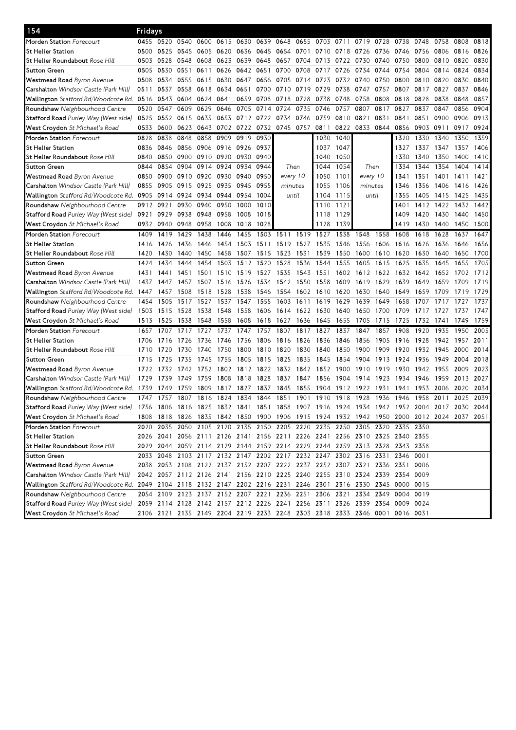| 154                                                                                                            | Fridays |           |           |      |      |           |           |           |           |                                                                            |           |          |      |      |                                                                                           |      |      |      |
|----------------------------------------------------------------------------------------------------------------|---------|-----------|-----------|------|------|-----------|-----------|-----------|-----------|----------------------------------------------------------------------------|-----------|----------|------|------|-------------------------------------------------------------------------------------------|------|------|------|
| <b>Morden Station</b> Forecourt                                                                                | 0455    | 0520 0540 |           | 0600 | 0615 | 0630      | 0639 0648 |           | 0655      |                                                                            | 0703 0711 | 0719     | 0728 | 0738 | 0748                                                                                      | 0758 | 0808 | 0818 |
| St Helier Station                                                                                              | 0500    | 0525      | 0545      | 0605 | 0620 | 0636      | 0645      | 0654      | 0701      | 0710                                                                       | 0718      | 0726     | 0736 | 0746 | 0756                                                                                      | 0806 | 0816 | 0826 |
| St Helier Roundabout <i>Rose Hill</i>                                                                          | 0503    | 0528      | 0548      | 0608 | 0623 | 0639      | 0648      | 0657      | 0704      | 0713                                                                       | 0722      | 0730     | 0740 | 0750 | 0800                                                                                      | 0810 | 0820 | 0830 |
| Sutton Green                                                                                                   | 0505    | 0530      | 0551      | 0611 | 0626 | 0642      | 0651      | 0700      | 0708      | 0717                                                                       | 0726      | 0734     | 0744 | 0754 | 0804                                                                                      | 0814 | 0824 | 0834 |
| <b>Westmead Road</b> Byron Avenue                                                                              | 0508    | 0534      | 0555      | 0615 | 0630 | 0647      | 0656      | 0705      | 0714      | 0723                                                                       | 0732      | 0740     | 0750 | 0800 | 0810                                                                                      | 0820 | 0830 | 0840 |
| <b>Carshalton</b> Windsor Castle (Park Hill)                                                                   | 0511    | 0537      | 0558      | 0618 | 0634 | 0651      | 0700      | 0710 0719 |           | 0729                                                                       | 0738      | 0747     | 0757 | 0807 | 0817                                                                                      | 0827 | 0837 | 0846 |
| Wallington <i>Stafford Rd/Woodcote Rd.</i> 0516                                                                |         | 0543      | 0604 0624 |      | 0641 | 0659      | 0708      | 0718      | 0728      | 0738                                                                       | 0748      | 0758     | 0808 | 0818 | 0828                                                                                      | 0838 | 0848 | 0857 |
| <b>Roundshaw</b> Neighbourhood Centre                                                                          | 0520    | 0547      | 0609      | 0629 | 0646 | 0705      | 0714      | 0724      | 0735      | 0746                                                                       | 0757      | 0807     | 0817 | 0827 | 0837                                                                                      | 0847 | 0856 | 0904 |
| Stafford Road Purley Way (West side)                                                                           | 0525    | 0552      | 0615      | 0635 | 0653 | 0712 0722 |           | 0734      | 0746      | 0759                                                                       | 0810      | 0821     | 0831 | 0841 | 0851                                                                                      | 0900 | 0906 | 0913 |
| <b>West Croydon</b> St Michael's Road                                                                          | 0533    | 0600      | 0623      | 0643 |      | 0702 0722 | 0732      | 0745 0757 |           | 0811                                                                       | 0822      | 0833     | 0844 | 0856 | 0903                                                                                      | 0911 | 0917 | 0924 |
| Morden Station Forecourt                                                                                       | 0828    | 0838      | 0848      | 0858 | 0909 | 0919      | 0930      |           |           | 1030                                                                       | 1040      |          |      | 1320 | 1330                                                                                      | 1340 | 1350 | 1359 |
| St Helier Station                                                                                              | 0836    | 0846      | 0856 0906 |      |      | 0916 0926 | 0937      |           |           | 1037                                                                       | 1047      |          |      | 1327 | 1337                                                                                      | 1347 | 1357 | 1406 |
| St Helier Roundabout <i>Rose Hill</i>                                                                          | 0840    | 0850      | 0900 0910 |      | 0920 | 0930 0940 |           |           |           | 1040                                                                       | 1050      |          |      | 1330 | 1340                                                                                      | 1350 | 1400 | 1410 |
| Sutton Green                                                                                                   | 0844    | 0854      | 0904      | 0914 | 0924 | 0934      | 0944      | Then      |           | 1044                                                                       | 1054      | Then     |      | 1334 | 1344                                                                                      | 1354 | 1404 | 1414 |
| <b>Westmead Road</b> Byron Avenue                                                                              | 0850    | 0900      | 0910 0920 |      | 0930 | 0940      | 0950      | every 10  |           | 1050                                                                       | 1101      | every 10 |      | 1341 | 1351                                                                                      | 1401 | 1411 | 1421 |
| <b>Carshalton</b> Windsor Castle (Park Hill)                                                                   | 0855    | 0905      | 0915      | 0925 | 0935 | 0945      | 0955      | minutes   |           | 1055                                                                       | 1106      | minutes  |      | 1346 | 1356                                                                                      | 1406 | 1416 | 1426 |
| Wallington Stafford Rd/Woodcote Rd. 0905                                                                       |         | 0914      | 0924      | 0934 | 0944 | 0954      | 1004      | until     |           | 1104                                                                       | 1115      | until    |      | 1355 | 1405                                                                                      | 1415 | 1425 | 1435 |
| <b>Roundshaw</b> Neighbourhood Centre                                                                          | 0912    | 0921      | 0930      | 0940 | 0950 | 1000      | 1010      |           |           | 1110                                                                       | 1121      |          |      | 1401 | 1412                                                                                      | 1422 | 1432 | 1442 |
| <b>Stafford Road</b> Purley Way (West side)                                                                    | 0921    | 0929      | 0938 0948 |      | 0958 | 1008      | 1018      |           |           | 1118                                                                       | 1129      |          |      | 1409 | 1420                                                                                      | 1430 | 1440 | 1450 |
| <b>West Croydon</b> St Michael's Road                                                                          | 0932    | 0940      | 0948      | 0958 | 1008 | 1018      | 1028      |           |           | 1128                                                                       | 1139      |          |      | 1419 | 1430                                                                                      | 1440 | 1450 | 1500 |
| Morden Station Forecourt                                                                                       | 1409    | 1419      | 1429      | 1438 | 1446 | 1455      | 1503      | 1511      | 1519      | 1527                                                                       | 1538      | 1548     | 1558 | 1608 | 1618                                                                                      | 1628 | 1637 | 1647 |
| St Helier Station                                                                                              | 1416    | 1426      | 1436      | 1446 | 1454 | 1503      | 1511      | 1519      | 1527      | 1535                                                                       | 1546      | 1556     | 1606 | 1616 | 1626                                                                                      | 1636 | 1646 | 1656 |
| St Helier Roundabout <i>Rose Hill</i>                                                                          | 1420    | 1430      | 1440      | 1450 | 1458 | 1507      | 1515      | 1523      | 1531      | 1539                                                                       | 1550      | 1600     | 1610 | 1620 | 1630                                                                                      | 1640 | 1650 | 1700 |
| Sutton Green                                                                                                   | 1424    | 1434      | 1444      | 1454 | 1503 | 1512      | 1520      | 1528      | 1536      | 1544                                                                       | 1555      | 1605     | 1615 | 1625 | 1635                                                                                      | 1645 | 1655 | 1705 |
| <b>Westmead Road</b> Byron Avenue                                                                              | 1431    | 1441      | 1451      | 1501 | 1510 | 1519      | 1527      | 1535      | 1543      | 1551                                                                       | 1602      | 1612     | 1622 | 1632 | 1642                                                                                      | 1652 | 1702 | 1712 |
| <b>Carshalton</b> Windsor Castle (Park Hill)                                                                   | 1437    | 1447      | 1457      | 1507 | 1516 | -1526     | 1534      | 1542 1550 |           | 1558                                                                       | 1609      | 1619     | 1629 | 1639 | 1649                                                                                      | 1659 | 1709 | 1719 |
| <b>Wallington</b> Stafford Rd/Woodcote Rd. 1 <b>4</b> 47                                                       |         | 1457      | 1508      | 1518 | 1528 | 1538      | 1546      | 1554      | 1602      | 1610                                                                       | 1620      | 1630     | 1640 | 1649 | 1659                                                                                      | 1709 | 1719 | 1729 |
| <b>Roundshaw</b> Neighbourhood Centre                                                                          | 1454    | 1505      | 1517      | 1527 | 1537 | 1547      | 1555      | 1603      | 1611      | 1619                                                                       | 1629      | 1639     | 1649 | 1658 | 1707                                                                                      | 1717 | 1727 | 1737 |
| Stafford Road Purley Way (West side)                                                                           | 1503    | 1515      | 1528      | 1538 | 1548 | 1558      | 1606      | 1614 1622 |           | 1630                                                                       | 1640      | 1650     | 1700 | 1709 | 1717                                                                                      | 1727 | 1737 | 1747 |
| <b>West Croydon</b> St Michael's Road                                                                          | 1513    | 1525      | 1538      | 1548 | 1558 | 1608      | 1618      | 1627      | 1636      | 1645                                                                       | 1655      | 1705     | 1715 | 1725 | 1732                                                                                      | 1741 | 1749 | 1759 |
| Morden Station Forecourt                                                                                       | 1657    | 1707      | 1717      | 1727 | 1737 | 1747      | 1757      | 1807      | 1817      | 1827                                                                       | 1837      | 1847     | 1857 | 1908 | 1920                                                                                      | 1935 | 1950 | 2005 |
| St Helier Station                                                                                              | 1706    | 1716      | 1726      | 1736 | 1746 | 1756      | 1806      | 1816      | 1826      | 1836                                                                       | 1846      | 1856     | 1905 | 1916 | 1928                                                                                      | 1942 | 1957 | 2011 |
| St Helier Roundabout <i>Rose Hill</i>                                                                          | 1710    | 1720      | 1730      | 1740 | 1750 | 1800      | 1810      | 1820      | 1830      | 1840                                                                       | 1850      | 1900     | 1909 | 1920 | 1932                                                                                      | 1945 | 2000 | 2014 |
| Sutton Green                                                                                                   | 1715    | 1725      | 1735      | 1745 | 1755 | 1805      | 1815      | 1825      | 1835      | 1845                                                                       | 1854      | 1904     | 1913 | 1924 | 1936                                                                                      | 1949 | 2004 | 2018 |
| <b>Westmead Road</b> Byron Avenue                                                                              | 1722    | 1732      | 1742      | 1752 | 1802 | 1812      | 1822      | 1832      | 1842      | 1852                                                                       | 1900      | 1910     | 1919 | 1930 | 1942                                                                                      | 1955 | 2009 | 2023 |
| Carshalton Windsor Castle (Park Hill)                                                                          | 1729    | 1739      | 1749      | 1759 | 1808 | 1818      | 1828      | 1837      | 1847      | 1856                                                                       | 1904      | 1914     | 1923 | 1934 | 1946                                                                                      | 1959 | 2013 | 2027 |
| <b>Wallington</b> Stafford Rd/Woodcote Rd.                                                                     | 1739    | 1749      | 1759      | 1809 | 1817 | 1827      | 1837      | 1845      | 1855      | 1904                                                                       | 1912      | 1922     | 1931 | 1941 | 1953                                                                                      | 2006 | 2020 | 2034 |
| <b>Roundshaw</b> Neighbourhood Centre                                                                          | 1747    | 1757      | 1807      | 1816 | 1824 | 1834      | 1844      | 1851      | 1901      | 1910                                                                       | 1918      | 1928     | 1936 | 1946 | 1958                                                                                      | 2011 | 2025 | 2039 |
| <b>Stafford Road</b> Purley Way (West side)                                                                    | 1756    | 1806      | 1816 1825 |      |      | 1832 1841 | 1851      | 1858      | 1907 1916 |                                                                            |           |          |      |      | 1924 1934 1942 1952 2004 2017 2030 2044                                                   |      |      |      |
| West Croydon St Michael's Road                                                                                 |         |           |           |      |      |           |           |           |           |                                                                            |           |          |      |      | 1808 1818 1826 1835 1842 1850 1900 1906 1915 1924 1932 1942 1950 2000 2012 2024 2037 2051 |      |      |      |
| Morden Station Forecourt                                                                                       |         |           |           |      |      |           |           |           |           | 2020 2035 2050 2105 2120 2135 2150 2205 2220 2235 2250 2305 2320 2335 2350 |           |          |      |      |                                                                                           |      |      |      |
| St Helier Station                                                                                              |         |           |           |      |      |           |           |           |           | 2026 2041 2056 2111 2126 2141 2156 2211 2226 2241 2256 2310 2325 2340 2355 |           |          |      |      |                                                                                           |      |      |      |
| St Helier Roundabout <i>Rose Hill</i>                                                                          |         |           |           |      |      |           |           |           |           | 2029 2044 2059 2114 2129 2144 2159 2214 2229 2244 2259 2313 2328 2343 2358 |           |          |      |      |                                                                                           |      |      |      |
| Sutton Green                                                                                                   |         |           |           |      |      |           |           |           |           | 2033 2048 2103 2117 2132 2147 2202 2217 2232 2247 2302 2316 2331 2346 0001 |           |          |      |      |                                                                                           |      |      |      |
| Westmead Road Byron Avenue                                                                                     |         |           |           |      |      |           |           |           |           | 2038 2053 2108 2122 2137 2152 2207 2222 2237 2252 2307 2321 2336 2351      |           |          |      |      | 0006                                                                                      |      |      |      |
| <b>Carshalton</b> Windsor Castle (Park Hill)                                                                   |         |           |           |      |      |           |           |           |           | 2042 2057 2112 2126 2141 2156 2210 2225 2240 2255 2310 2324 2339 2354 0009 |           |          |      |      |                                                                                           |      |      |      |
| Wallington Stafford Rd/Woodcote Rd. 2049 2104 2118 2132 2147 2202 2216 2231 2246 2301 2316 2330 2345 0000 0015 |         |           |           |      |      |           |           |           |           |                                                                            |           |          |      |      |                                                                                           |      |      |      |
| <b>Roundshaw</b> Neighbourhood Centre                                                                          |         |           |           |      |      |           |           |           |           | 2054 2109 2123 2137 2152 2207 2221 2236 2251 2306 2321 2334 2349 0004 0019 |           |          |      |      |                                                                                           |      |      |      |
| Stafford Road Purley Way (West side)                                                                           |         |           |           |      |      |           |           |           |           | 2059 2114 2128 2142 2157 2212 2226 2241 2256 2311 2326 2339 2354 0009 0024 |           |          |      |      |                                                                                           |      |      |      |
| <b>West Croydon</b> St Michael's Road                                                                          |         |           |           |      |      |           |           |           |           | 2106 2121 2135 2149 2204 2219 2233 2248 2303 2318 2333 2346 0001 0016 0031 |           |          |      |      |                                                                                           |      |      |      |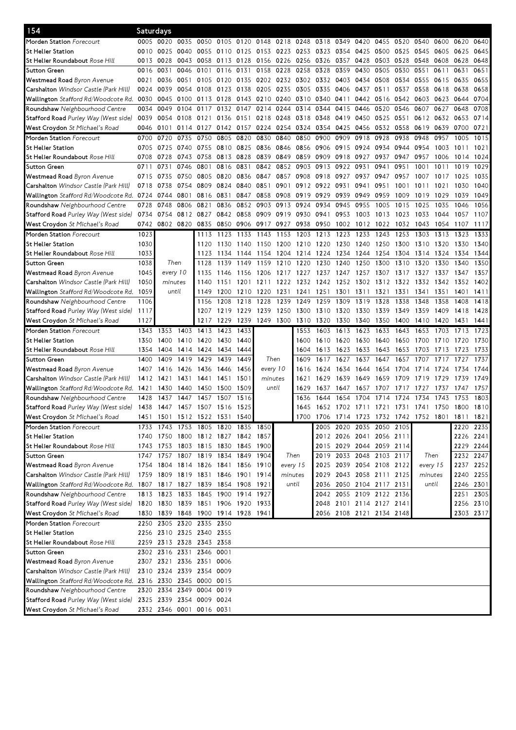| 154                                                                    | Saturdays |                     |                |                                    |           |                |          |                |                |      |           |                          |      |      |                                    |      |                                              |           |
|------------------------------------------------------------------------|-----------|---------------------|----------------|------------------------------------|-----------|----------------|----------|----------------|----------------|------|-----------|--------------------------|------|------|------------------------------------|------|----------------------------------------------|-----------|
| Morden Station Forecourt                                               | 0005      | 0020                | 0035           | 0050                               | 0105      | 0120           | 0148     | 0218 0248 0318 |                |      | 0349      | 0420                     | 0455 | 0520 | 0540                               | 0600 | 0620                                         | 0640      |
| St Helier Station                                                      | 0010      | 0025                | 0040           | 0055                               | 0110      | 0125           | 0153     | 0223 0253      |                | 0323 | 0354      | 0425                     | 0500 | 0525 | 0545                               | 0605 | 0625                                         | 0645      |
| St Helier Roundabout <i>Rose Hill</i>                                  | 0013      | 0028                | 0043           | 0058                               | 0113 0128 |                | 0156     | 0226 0256 0326 |                |      | 0357 0428 |                          | 0503 | 0528 | 0548                               | 0608 | 0628                                         | 0648      |
| Sutton Green                                                           | 0016      | 0031                | 0046           | 0101                               | 0116      | 0131           | 0158     | 0228           | 0258           | 0328 | 0359      | 0430                     | 0505 | 0530 | 0551                               | 0611 | 0631                                         | 0651      |
| <b>Westmead Road</b> Byron Avenue                                      | 0021      | 0036                | 0051           | 0105                               |           | 0120 0135 0202 |          | 0232 0302 0332 |                |      | 0403      | 0434                     | 0508 | 0534 | 0555                               | 0615 | 0635                                         | 0655      |
| <b>Carshalton</b> Windsor Castle (Park Hill)                           | 0024      | 0039                | 0054           | 0108                               | 0123      | 0138           | 0205     | 0235           | 0305           | 0335 | 0406      | 0437                     | 0511 | 0537 | 0558                               | 0618 | 0638                                         | 0658      |
| Wallington <i>Stafford Rd/Woodcote Rd.</i> 0030                        |           | 0045                | 0100           | 0113                               | 0128      | 0143           | 0210     | 0240           | 0310           | 0340 | 0411      | 0442                     | 0516 | 0542 | 0603                               | 0623 | 0644                                         | 0704      |
| <b>Roundshaw</b> Neighbourhood Centre                                  | 0034      | 0049                | 0104           | 0117                               | 0132      | 0147           | 0214     | 0244           | 0314           | 0344 | 0415      | 0446                     | 0520 | 0546 | 0607                               | 0627 | 0648                                         | 0708      |
| Stafford Road Purley Way (West side)                                   | 0039      | 0054                | 0108           | 0121                               | 0136 0151 |                | 0218     | 0248           | 0318 0348      |      | 0419      | 0450                     | 0525 | 0551 | 0612                               | 0632 | 0653                                         | 0714      |
| <b>West Croydon</b> St Michael's Road                                  | 0046      | 0101                | 0114 0127      |                                    | 0142 0157 |                | 0224     | 0254           | 0324           | 0354 | 0425      | 0456                     | 0532 | 0558 | 0619                               | 0639 | 0700                                         | 0721      |
| <b>Morden Station</b> Forecourt                                        | 0700      | 0720                | 0735           | 0750                               | 0805      | 0820           | 0830     | 0840           | 0850           | 0900 | 0909      | 0918                     | 0928 | 0938 | 0948                               | 0957 | 1005                                         | 1015      |
| St Helier Station                                                      | 0705      | 0725                | 0740           | 0755                               |           | 0810 0825 0836 |          | 0846           | 0856           | 0906 | 0915      | 0924                     | 0934 | 0944 | 0954                               | 1003 | 1011                                         | 1021      |
| St Helier Roundabout <i>Rose Hill</i>                                  | 0708      | 0728                | 0743 0758      |                                    | 0813      | 0828           | 0839     | 0849           | 0859 0909      |      | 0918      | 0927                     | 0937 | 0947 | 0957                               | 1006 | 1014                                         | 1024      |
| Sutton Green                                                           | 0711      | 0731                | 0746           | 0801                               | 0816      | 0831           | 0842     | 0852           | 0903           | 0913 | 0922      | 0931                     | 0941 | 0951 | 1001                               | 1011 | 1019                                         | 1029      |
| <b>Westmead Road</b> Byron Avenue                                      | 0715      | 0735                | 0750           | 0805                               | 0820      | 0836 0847      |          | 0857           | 0908           | 0918 | 0927      | 0937                     | 0947 | 0957 | 1007                               | 1017 | 1025                                         | 1035      |
| <b>Carshalton</b> Windsor Castle (Park Hill)                           | 0718      | 0738                | 0754           | 0809                               | 0824      | 0840           | 0851     | 0901           | 0912           | 0922 | 0931      | 0941                     | 0951 | 1001 | 1011                               | 1021 | 1030                                         | 1040      |
| Wallington Stafford Rd/Woodcote Rd.                                    | 0724      | 0744                | 0801           | 0816                               | 0831      | 0847           | 0858     | 0908           | 0919           | 0929 | 0939      | 0949                     | 0959 | 1009 | 1019                               | 1029 | 1039                                         | 1049      |
| Roundshaw Neighbourhood Centre                                         | 0728      | 0748                | 0806           | 0821                               | 0836      | 0852           | 0903     | 0913           | 0924           | 0934 | 0945      | 0955                     | 1005 | 1015 | 1025                               | 1035 | 1046                                         | 1056      |
| Stafford Road Purley Way (West side)                                   | 0734      | 0754                | 0812 0827      |                                    | 0842      | 0858           | 0909     | 0919           | 0930           | 0941 | 0953      | 1003                     | 1013 | 1023 | 1033                               | 1044 | 1057                                         | 1107      |
| <b>West Croydon</b> St Michael's Road                                  | 0742      |                     | 0802 0820 0835 |                                    |           | 0850 0906 0917 |          | 0927           | 0938           | 0950 | 1002      | 1012                     | 1022 | 1032 | 1043                               | 1054 | 1107                                         | 1117      |
| <b>Morden Station</b> Forecourt                                        | 1023      |                     |                | 1113                               | 1123      | 1133           | 1143     | 1153           | 1203           | 1213 | 1223      | 1233                     | 1243 | 1253 | 1303                               | 1313 | 1323                                         | 1333      |
| St Helier Station                                                      | 1030      |                     |                | 1120                               | 1130      | 1140           | 1150     | 1200           | 1210           | 1220 | 1230      | 1240                     | 1250 | 1300 | 1310                               | 1320 | 1330                                         | 1340      |
| <b>St Helier Roundabout</b> <i>Rose Hill</i>                           | 1033      |                     |                | 1123                               | 1134      | 1144           | 1154     | 1204           | 1214           | 1224 | 1234      | 1244                     | 1254 | 1304 | 1314                               | 1324 | 1334                                         | 1344      |
| Sutton Green                                                           | 1038      | Then                |                | 1128                               | 1139      | 1149           | 1159     | 1210           | 1220           | 1230 | 1240      | 1250                     | 1300 | 1310 | 1320                               | 1330 | 1340                                         | 1350      |
| <b>Westmead Road</b> Byron Avenue                                      | 1045      | every 10            |                | 1135                               | 1146      | 1156           | 1206     | 1217 1227      |                | 1237 | 1247      | 1257                     | 1307 | 1317 | 1327                               | 1337 | 1347                                         | 1357      |
| <b>Carshalton</b> Windsor Castle (Park Hill)                           | 1050      | minutes             |                | 1140                               | 1151      | 1201           | 1211     |                | 1222 1232 1242 |      | 1252 1302 |                          | 1312 | 1322 | 1332                               | 1342 | 1352                                         | 1402      |
| Wallington Stafford Rd/Woodcote Rd. 1059                               |           | until               |                | 1149                               | 1200      | 1210           | 1220     | 1231           | 1241           | 1251 | 1301      | 1311                     | 1321 | 1331 | 1341                               | 1351 | 1401                                         | 1411      |
| <b>Roundshaw</b> Neighbourhood Centre                                  | 1106      |                     |                | 1156                               | 1208      | 1218           | 1228     | 1239           | 1249           | 1259 | 1309      | 1319                     | 1328 | 1338 | 1348                               | 1358 | 1408                                         | 1418      |
| Stafford Road Purley Way (West side)                                   | 1117      |                     |                | 1207                               | 1219      | 1229           | 1239     | 1250           | 1300           | 1310 | 1320      | 1330                     | 1339 | 1349 | 1359                               | 1409 | 1418                                         | 1428      |
| <b>West Croydon</b> St Michael's Road                                  | 1127      |                     |                | 1217                               | 1229      | 1239           | 1249     | 1300           | 1310           | 1320 | 1330      | 1340                     | 1350 | 1400 | 1410                               | 1420 | 1431                                         | 1441      |
| <b>Morden Station</b> Forecourt                                        | 1343      | 1353                | 1403           | 1413                               | 1423      | 1433           |          |                | 1553           | 1603 | 1613      | 1623                     | 1633 | 1643 | 1653                               | 1703 | 1713                                         | 1723      |
| St Helier Station                                                      | 1350      | 1400                | 1410 1420      |                                    | 1430      | 1440           |          |                | 1600           | 1610 | 1620      | 1630                     | 1640 | 1650 | 1700                               | 1710 | 1720                                         | 1730      |
| St Helier Roundabout Rose Hill                                         | 1354      | 1404                | 1414 1424      |                                    | 1434 1444 |                |          |                | 1604           | 1613 | 1623      | 1633                     | 1643 | 1653 | 1703                               | 1713 | 1723                                         | 1733      |
| Sutton Green                                                           | 1400      | 1409                |                | 1419 1429                          | 1439      | 1449           | Then     |                | 1609           | 1617 | 1627      | 1637                     | 1647 | 1657 | 1707                               | 1717 | 1727                                         | 1737      |
| Westmead Road Byron Avenue                                             | 1407      | 1416                | 1426           | 1436                               | 1446      | 1456           | every 10 |                | 1616           | 1624 | 1634      | 1644                     | 1654 | 1704 | 1714                               | 1724 | 1734                                         | 1744      |
| <b>Carshalton</b> Windsor Castle (Park Hill)                           | 1412      | 1421                | 1431           | 1441                               | 1451      | 1501           | minutes  |                | 1621           | 1629 | 1639      | 1649                     | 1659 | 1709 | 1719                               | 1729 | 1739                                         | 1749      |
| <b>Wallington</b> Stafford Rd/Woodcote Rd.                             | 1421      |                     |                |                                    |           |                |          | until          | 1629           | 1637 | 1647      | 1657                     |      |      |                                    |      |                                              |           |
| <b>Roundshaw</b> Neighbourhood Centre                                  |           | 1430                | 1440           | 1450                               | 1500      | 1509           |          |                |                |      |           |                          | 1707 | 1717 | 1727                               | 1737 | 1747                                         | 1757      |
|                                                                        | 1428      | 1437                | 1447           | 1457                               | 1507      | 1516           |          |                | 1636           | 1644 | 1654      | 1704                     | 1714 | 1724 | 1734                               | 1743 | 1753                                         | 1803      |
| Stafford Road Purley Way (West side) 1438                              |           |                     |                | 1447 1457 1507 1516 1525           |           |                |          |                | 1645           |      |           |                          |      |      |                                    |      | 1652 1702 1711 1721 1731 1741 1750 1800 1810 |           |
| <b>West Croydon</b> St Michael's Road                                  | 1451      |                     |                | 1501 1512 1522 1531 1540           |           |                |          |                | 1700           |      |           |                          |      |      | 1706 1714 1723 1732 1742 1752 1801 |      | 1811                                         | 1821      |
| Morden Station Forecourt                                               | 1733      |                     |                | 1743 1753 1805 1820 1835 1850      |           |                |          |                |                |      |           | 2005 2020 2035 2050 2105 |      |      |                                    |      | 2220 2235                                    |           |
| St Helier Station                                                      |           |                     |                | 1740 1750 1800 1812 1827 1842 1857 |           |                |          |                |                |      |           | 2012 2026 2041 2056 2111 |      |      |                                    |      |                                              | 2226 2241 |
| St Helier Roundabout <i>Rose Hill</i>                                  |           |                     |                | 1743 1753 1803 1815 1830 1845 1900 |           |                |          |                |                |      |           | 2015 2029 2044 2059 2114 |      |      |                                    |      |                                              | 2229 2244 |
| Sutton Green                                                           |           | 1747 1757           | 1807 1819      |                                    | 1834      | 1849 1904      |          | Then           |                |      |           | 2019 2033 2048 2103 2117 |      |      | Then                               |      |                                              | 2232 2247 |
| Westmead Road Byron Avenue                                             |           |                     |                | 1754 1804 1814 1826 1841           |           | 1856 1910      |          | every 15       |                |      |           | 2025 2039 2054 2108 2122 |      |      | every 15                           |      |                                              | 2237 2252 |
| Carshalton Windsor Castle (Park Hill)                                  |           |                     |                | 1759 1809 1819 1831 1846 1901 1914 |           |                |          | minutes        |                |      |           | 2029 2043 2058 2111 2125 |      |      | minutes                            |      |                                              | 2240 2255 |
| Wallington Stafford Rd/Woodcote Rd. 1807 1817 1827 1839 1854 1908 1921 |           |                     |                |                                    |           |                |          | until          |                |      |           | 2036 2050 2104 2117 2131 |      |      | until                              |      | 2246 2301                                    |           |
| Roundshaw Neighbourhood Centre                                         |           |                     |                | 1813 1823 1833 1845 1900 1914 1927 |           |                |          |                |                |      |           | 2042 2055 2109 2122 2136 |      |      |                                    |      | 2251 2305                                    |           |
| <b>Stafford Road</b> Purley Way (West side)                            |           |                     |                | 1820 1830 1839 1851 1906 1920 1933 |           |                |          |                |                |      |           | 2048 2101 2114 2127 2141 |      |      |                                    |      |                                              | 2256 2310 |
| West Croydon St Michael's Road                                         |           |                     |                | 1830 1839 1848 1900 1914 1928 1941 |           |                |          |                |                |      |           | 2056 2108 2121 2134 2148 |      |      |                                    |      | 2303 2317                                    |           |
| Morden Station Forecourt                                               |           | 2250 2305 2320 2335 |                |                                    | 2350      |                |          |                |                |      |           |                          |      |      |                                    |      |                                              |           |
| St Helier Station                                                      |           |                     |                | 2256 2310 2325 2340 2355           |           |                |          |                |                |      |           |                          |      |      |                                    |      |                                              |           |
| St Helier Roundabout Rose Hill                                         |           |                     |                | 2259 2313 2328 2343 2358           |           |                |          |                |                |      |           |                          |      |      |                                    |      |                                              |           |
| Sutton Green                                                           |           |                     |                | 2302 2316 2331 2346 0001           |           |                |          |                |                |      |           |                          |      |      |                                    |      |                                              |           |
| Westmead Road Byron Avenue                                             |           |                     |                | 2307 2321 2336 2351 0006           |           |                |          |                |                |      |           |                          |      |      |                                    |      |                                              |           |
| Carshalton Windsor Castle (Park Hill)                                  |           |                     |                | 2310 2324 2339 2354 0009           |           |                |          |                |                |      |           |                          |      |      |                                    |      |                                              |           |
| Wallington Stafford Rd/Woodcote Rd. 2316 2330 2345 0000 0015           |           |                     |                |                                    |           |                |          |                |                |      |           |                          |      |      |                                    |      |                                              |           |
| Roundshaw Neighbourhood Centre                                         |           | 2320 2334 2349 0004 |                |                                    | 0019      |                |          |                |                |      |           |                          |      |      |                                    |      |                                              |           |
| <b>Stafford Road</b> Purley Way (West side)                            |           |                     |                | 2325 2339 2354 0009 0024           |           |                |          |                |                |      |           |                          |      |      |                                    |      |                                              |           |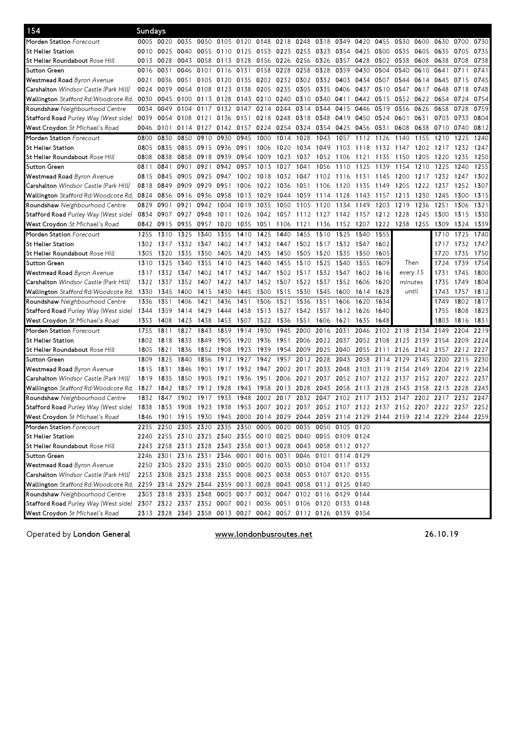| 154                                                                                             | Sundays |           |                                                             |      |                                                   |           |      |                |                |      |                     |           |                |          |           |      |                                                                                           |      |
|-------------------------------------------------------------------------------------------------|---------|-----------|-------------------------------------------------------------|------|---------------------------------------------------|-----------|------|----------------|----------------|------|---------------------|-----------|----------------|----------|-----------|------|-------------------------------------------------------------------------------------------|------|
| Morden Station Forecourt                                                                        |         | 0005 0020 |                                                             |      | 0035 0050 0105 0120 0148 0218 0248 0318 0349 0420 |           |      |                |                |      |                     |           | 0455           | 0530     | 0600      | 0630 | 0700                                                                                      | 0730 |
| St Helier Station                                                                               | 0010    | 0025      | 0040                                                        | 0055 | 0110                                              | 0125 0153 |      | 0223 0253 0323 |                |      | 0354                | 0425 0500 |                | 0535     | 0605      | 0635 | 0705                                                                                      | 0735 |
| St Helier Roundabout <i>Rose Hill</i>                                                           | 0013    | 0028      | 0043 0058                                                   |      | 0113                                              | 0128      | 0156 | 0226 0256 0326 |                |      | 0357                |           | 0428 0502 0538 |          | 0608      | 0638 | 0708                                                                                      | 0738 |
| Sutton Green                                                                                    | 0016    | 0031      | 0046                                                        | 0101 | 0116                                              | 0131      | 0158 | 0228           | 0258           | 0328 | 0359                | 0430      | 0504           | 0540     | 0610      | 0641 | 0711                                                                                      | 0741 |
| Westmead Road Byron Avenue                                                                      | 0021    | 0036      | 0051                                                        | 0105 | 0120                                              | 0135 0202 |      | 0232 0302 0332 |                |      | 0403                | 0434      | 0507           | 0544     | 0614 0645 |      | 0715                                                                                      | 0745 |
| <b>Carshalton</b> Windsor Castle (Park Hill)                                                    | 0024    | 0039      | 0054 0108                                                   |      | 0123 0138 0205                                    |           |      | 0235 0305 0335 |                |      | 0406                | 0437      | 0510           | 0547     | 0617      | 0648 | 0718                                                                                      | 0748 |
| <b>Wallington</b> Stafford Rd/Woodcote Rd.                                                      | 0030    | 0045      | 0100 0113                                                   |      | 0128                                              | 0143 0210 |      |                | 0240 0310 0340 |      | 0411                | 0442 0515 |                | 0552     | 0622      | 0654 | 0724                                                                                      | 0754 |
| <b>Roundshaw</b> Neighbourhood Centre                                                           | 0034    | 0049      | 0104                                                        | 0117 | 0132                                              | 0147      | 0214 | 0244           | 0314           | 0344 | 0415                | 0446      | 0519           | 0556     | 0626      | 0658 | 0728                                                                                      | 0759 |
| <b>Stafford Road</b> Purley Way (West side)                                                     | 0039    | 0054      | 0108                                                        | 0121 | 0136                                              | 0151      | 0218 | 0248           | 0318           | 0348 | 0419                | 0450      | 0524           | 0601     | 0631      | 0703 | 0733                                                                                      | 0804 |
| <b>West Croydon</b> St Michael's Road                                                           | 0046    | 0101      | 0114 0127                                                   |      | 0142 0157                                         |           | 0224 |                | 0254 0324      | 0354 | 0425                | 0456 0531 |                | 0608     | 0638      | 0710 | 0740                                                                                      | 0812 |
| Morden Station Forecourt                                                                        | 0800    | 0830      | 0850                                                        | 0910 | 0930                                              | 0945      | 1000 | 1014           | 1028           | 1043 | 1057                | 1112      | 1126           | 1140     | 1155      | 1210 | 1225                                                                                      | 1240 |
| St Helier Station                                                                               | 0805    | 0835      | 0855 0915                                                   |      | 0936                                              | 0951      | 1006 | 1020           | 1034           | 1049 | 1103                | 1118      | 1132           | 1147     | 1202      | 1217 | 1232                                                                                      | 1247 |
| <b>St Helier Roundabout</b> <i>Rose Hill</i>                                                    | 0808    | 0838      | 0858                                                        | 0918 | 0939                                              | 0954      | 1009 | 1023           | 1037           | 1052 | 1106                | 1121      | 1135           | 1150     | 1205      | 1220 | 1235                                                                                      | 1250 |
| Sutton Green                                                                                    | 0811    | 0841      | 0901                                                        | 0921 | 0942                                              | 0957      | 1013 | 1027           | 1041           | 1056 | 1110                | 1125      | 1139           | 1154     | 1210      | 1225 | 1240                                                                                      | 1255 |
| <b>Westmead Road</b> Byron Avenue                                                               | 0815    | 0845      | 0905 0925                                                   |      | 0947                                              | 1002      | 1018 | 1032 1047      |                | 1102 | 1116                | 1131      | 1145           | 1200     | 1217      | 1232 | 1247                                                                                      | 1302 |
| <b>Carshalton</b> Windsor Castle (Park Hill)                                                    | 0818    | 0849      | 0909                                                        | 0929 | 0951                                              | 1006      | 1022 | 1036           | 1051           | 1106 | 1120                | 1135      | 1149           | 1205     | 1222      | 1237 | 1252                                                                                      | 1307 |
| Wallington Stafford Rd/Woodcote Rd. 0824                                                        |         | 0856      | 0916 0936                                                   |      | 0958                                              | 1013      | 1029 | 1044           | 1059           | 1114 | 1128                | 1143      | 1157           | 1213     | 1230      | 1245 | 1300                                                                                      | 1315 |
| <b>Roundshaw</b> Neighbourhood Centre                                                           | 0829    | 0901      | 0921                                                        | 0942 | 1004                                              | 1019      | 1035 | 1050           | 1105           | 1120 | 1134                | 1149      | 1203           | 1219     | 1236      | 1251 | 1306                                                                                      | 1321 |
| Stafford Road Purley Way (West side)                                                            | 0834    | 0907      | 0927                                                        | 0948 | 1011                                              | 1026      | 1042 | 1057           | 1112 1127      |      | 1142                | 1157      | 1212           | 1228     | 1245      | 1300 | 1315                                                                                      | 1330 |
| West Croydon St Michael's Road                                                                  | 0842    | 0915      | 0935                                                        | 0957 | 1020                                              | 1035      | 1051 | 1106           | 1121           | 1136 | 1152 1207           |           | 1222           | 1238     | 1255      | 1309 | 1324                                                                                      | 1339 |
| Morden Station Forecourt                                                                        | 1255    | 1310      | 1325                                                        | 1340 | 1355                                              | 1410      | 1425 | 1440           | 1455           | 1510 | 1525                | 1540      | 1555           |          |           | 1710 | 1725                                                                                      | 1740 |
| St Helier Station                                                                               | 1302    | 1317      | 1332                                                        | 1347 |                                                   | 1402 1417 | 1432 | 1447           | 1502           |      | 1517 1532 1547 1602 |           |                |          |           | 1717 | 1732 1747                                                                                 |      |
| <b>St Helier Roundabout</b> <i>Rose Hill</i>                                                    | 1305    | 1320      | 1335                                                        | 1350 | 1405                                              | 1420      | 1435 | 1450           | 1505           | 1520 | 1535                | 1550      | 1605           |          |           | 1720 | 1735                                                                                      | 1750 |
| Sutton Green                                                                                    | 1310    | 1325      | 1340                                                        | 1355 | 1410                                              | 1425      | 1440 | 1455           | 1510           | 1525 | 1540                | 1555      | 1609           | Then     |           | 1724 | 1739                                                                                      | 1754 |
| Westmead Road Byron Avenue                                                                      | 1317    | 1332      | 1347                                                        | 1402 | 1417                                              | 1432      | 1447 | 1502 1517      |                | 1532 | 1547                | 1602      | 1616           | every 15 |           | 1731 | 1745                                                                                      | 1800 |
| Carshalton Windsor Castle (Park Hill)                                                           | 1322    | 1337      | 1352                                                        | 1407 | 1422                                              | 1437      | 1452 | 1507           | 1522           | 1537 | 1552                | 1606      | 1620           | minutes  |           | 1735 | 1749                                                                                      | 1804 |
| Wallington <i>Stafford Rd/Woodcote Rd.</i> 1330                                                 |         | 1345      | 1400                                                        | 1415 | 1430                                              | 1445      | 1500 | 1515           | 1530           | 1545 | 1600                | 1614 1628 |                | until    |           | 1743 | 1757 1812                                                                                 |      |
| <b>Roundshaw</b> Neighbourhood Centre                                                           | 1336    | 1351      | 1406                                                        | 1421 | 1436                                              | 1451      | 1506 | 1521           | 1536           | 1551 | 1606                | 1620      | 1634           |          |           | 1749 | 1802 1817                                                                                 |      |
| <b>Stafford Road</b> Purley Way (West side)                                                     | 1344    | 1359      | 1414                                                        | 1429 | 1444                                              | 1458      | 1513 | 1527           | 1542           | 1557 | 1612                | 1626      | 1640           |          |           | 1755 | 1808                                                                                      | 1823 |
| <b>West Croydon</b> St Michael's Road                                                           | 1353    | 1408      | 1423                                                        | 1438 | 1453                                              | 1507      | 1522 | 1536           | 1551           | 1606 | 1621                | 1635      | 1648           |          |           | 1803 | 1816                                                                                      | 1831 |
| Morden Station Forecourt                                                                        | 1755    | 1811      | 1827                                                        | 1843 | 1859                                              | 1914      | 1930 | 1945           | 2000           | 2016 | 2031                | 2046      | 2102           | 2118     | 2134      | 2149 | 2204                                                                                      | 2219 |
| St Helier Station                                                                               | 1802    | 1818      | 1833                                                        | 1849 | 1905                                              | 1920      | 1936 | 1951           | 2006           | 2022 | 2037                | 2052      | 2108           | 2123     | 2139      | 2154 | 2209                                                                                      | 2224 |
| <b>St Helier Roundabout</b> <i>Rose Hill</i>                                                    | 1805    | 1821      | 1836                                                        | 1852 | 1908                                              | 1923      | 1939 | 1954           | 2009           | 2025 | 2040                | 2055      | 2111           | 2126     | 2142      | 2157 | 2212                                                                                      | 2227 |
| Sutton Green                                                                                    | 1809    | 1825      | 1840                                                        | 1856 | 1912                                              | 1927      | 1942 | 1957           | 2012           | 2028 | 2043                | 2058      | 2114           | 2129     | 2145      | 2200 | 2215                                                                                      | 2230 |
| Westmead Road Byron Avenue                                                                      | 1815    | 1831      | 1846                                                        | 1901 | 1917                                              | 1932      | 1947 | 2002           | 2017           | 2033 | 2048                | 2103      | 2119           | 2134     | 2149      | 2204 | 2219                                                                                      | 2234 |
| <b>Carshalton</b> Windsor Castle (Park Hill)                                                    | 1819    | 1835      | 1850                                                        | 1905 | 1921                                              | 1936      | 1951 | 2006           | 2021           | 2037 | 2052                | 2107      | 21<br>22       | 2137     | 2152 2207 |      | 2222                                                                                      | 2237 |
| Wallington <i>Stafford Rd/Woodcote Rd.</i> 1827                                                 |         | 1842      | 1857                                                        | 1912 | 1928                                              | 1943      | 1958 | 2013           | 2028           | 2043 | 2058                | 2113      | 2128           | 2143     | 2158      | 2213 | 2228                                                                                      | 2243 |
| <b>Roundshaw</b> Neighbourhood Centre                                                           | 1832    | 1847      | 1902                                                        | 1917 | 1933                                              | 1948      | 2002 | 2017           | 2032           | 2047 | 2102                | 2117      | 2132           | 2147     | 2202 2217 |      | 2232                                                                                      | 2247 |
| <b>Stafford Road</b> Purley Way (West side)                                                     | 1838    | 1853      | 1908 1923                                                   |      | 1938                                              |           |      |                |                |      |                     |           |                |          |           |      | 1953 2007 2022 2037 2052 2107 2122 2137 2152 2207 2222 2237                               | 2252 |
| West Croydon St Michael's Road                                                                  |         |           |                                                             |      |                                                   |           |      |                |                |      |                     |           |                |          |           |      | 1846 1901 1915 1930 1945 2000 2014 2029 2044 2059 2114 2129 2144 2159 2214 2229 2244 2259 |      |
| Morden Station Forecourt                                                                        |         |           | 2235 2250 2305 2320 2335 2350 0005 0020 0035 0050 0105 0120 |      |                                                   |           |      |                |                |      |                     |           |                |          |           |      |                                                                                           |      |
| St Helier Station                                                                               |         |           | 2240 2255 2310 2325 2340 2355 0010 0025 0040 0055 0109 0124 |      |                                                   |           |      |                |                |      |                     |           |                |          |           |      |                                                                                           |      |
| St Helier Roundabout <i>Rose Hill</i>                                                           |         |           | 2243 2258 2313 2328 2343 2358 0013 0028 0043 0058 0112 0127 |      |                                                   |           |      |                |                |      |                     |           |                |          |           |      |                                                                                           |      |
| Sutton Green                                                                                    |         |           | 2246 2301 2316 2331 2346 0001 0016 0031 0046 0101 0114 0129 |      |                                                   |           |      |                |                |      |                     |           |                |          |           |      |                                                                                           |      |
| <b>Westmead Road</b> Byron Avenue                                                               |         |           | 2250 2305 2320 2335 2350 0005 0020 0035 0050 0104 0117 0132 |      |                                                   |           |      |                |                |      |                     |           |                |          |           |      |                                                                                           |      |
| <b>Carshalton</b> Windsor Castle (Park Hill)                                                    |         |           | 2253 2308 2323 2338 2353 0008 0023 0038 0053 0107 0120 0135 |      |                                                   |           |      |                |                |      |                     |           |                |          |           |      |                                                                                           |      |
| Wallington Stafford Rd/Woodcote Rd. 2259 2314 2329 2344 2359 0013 0028 0043 0058 0112 0125 0140 |         |           |                                                             |      |                                                   |           |      |                |                |      |                     |           |                |          |           |      |                                                                                           |      |
| <b>Roundshaw</b> Neighbourhood Centre                                                           |         |           | 2303 2318 2333 2348 0003 0017 0032 0047 0102 0116 0129 0144 |      |                                                   |           |      |                |                |      |                     |           |                |          |           |      |                                                                                           |      |
| Stafford Road Purley Way (West side)                                                            |         |           | 2307 2322 2337 2352 0007 0021 0036 0051 0106 0120 0133 0148 |      |                                                   |           |      |                |                |      |                     |           |                |          |           |      |                                                                                           |      |
| <b>West Croydon</b> St Michael's Road                                                           |         |           | 2313 2328 2343 2358 0013 0027 0042 0057 0112 0126 0139 0154 |      |                                                   |           |      |                |                |      |                     |           |                |          |           |      |                                                                                           |      |
|                                                                                                 |         |           |                                                             |      |                                                   |           |      |                |                |      |                     |           |                |          |           |      |                                                                                           |      |

Operated by London General **Exercise Struck and Service WWW.londonbusroutes.net** 26.10.19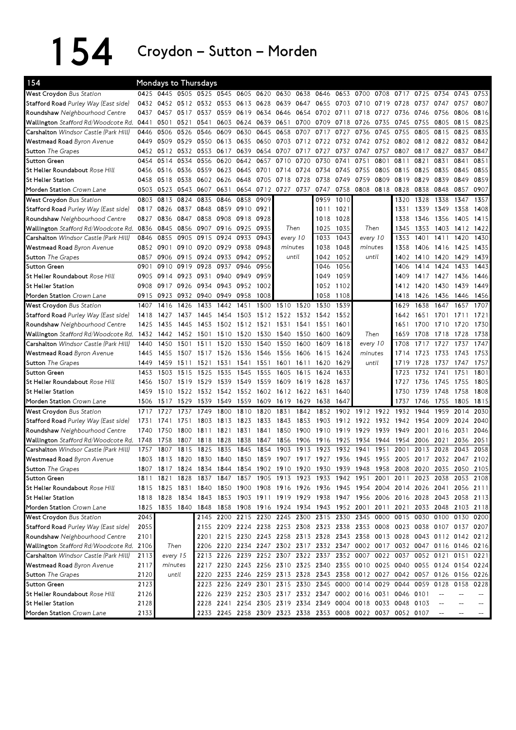154 Croydon–Sutton–Morden

| 154                                      |      |                     |           | <b>Mondays to Thursdays</b>                                           |           |                |                     |                          |           |                |           |                                                             |      |                |      |                                                                                           |           |           |
|------------------------------------------|------|---------------------|-----------|-----------------------------------------------------------------------|-----------|----------------|---------------------|--------------------------|-----------|----------------|-----------|-------------------------------------------------------------|------|----------------|------|-------------------------------------------------------------------------------------------|-----------|-----------|
| West Croydon Bus Station                 | 0425 |                     |           | 0445 0505 0525 0545 0605 0620                                         |           |                |                     |                          | 0630 0638 | 0646           | 0653      | 0700                                                        | 0708 | 0717           | 0725 | 0734                                                                                      | 0743      | 0753      |
| Stafford Road Purley Way (East side)     |      | 0432 0452           |           | 0512 0532 0553 0613                                                   |           |                | 0628                | 0639 0647                |           | 0655           | 0703 0710 |                                                             | 0719 | 0728           | 0737 | 0747                                                                                      | 0757      | 0807      |
| Roundshaw Neighbourhood Centre           | 0437 | 0457                | 0517      | 0537                                                                  | 0559      | 0619           | 0634                | 0646                     | 0654      | 0702           | 0711      | 0718                                                        | 0727 | 0736           | 0746 | 0756                                                                                      | 0806      | 0816      |
| Wallington Stafford Rd/Woodcote Rd.      | 0441 | 0501                | 0521      | 0541                                                                  |           | 0603 0624      | 0639                | 0651                     | 0700      | 0709           | 0718      | 0726                                                        | 0735 | 0745           | 0755 | 0805                                                                                      | 0815      | 0825      |
| Carshalton Windsor Castle (Park Hill)    | 0446 | 0506                | 0526      | 0546                                                                  | 0609      | 0630           | 0645                | 0658                     | 0707      | 0717           | 0727      | 0736                                                        | 0745 | 0755           | 0805 | 0815                                                                                      | 0825      | 0835      |
| Westmead Road Byron Avenue               | 0449 | 0509                | 0529      | 0550                                                                  | 0613 0635 |                | 0650                |                          | 0703 0712 | 0722 0732 0742 |           |                                                             |      | 0752 0802 0812 |      | 0822 0832                                                                                 |           | 0842      |
| <b>Sutton</b> The Grapes                 | 0452 | 0512                | 0532      | 0553                                                                  | 0617      | 0639           | 0654                |                          | 0707 0717 | 0727           | 0737      | 0747                                                        | 0757 | 0807           | 0817 | 0827                                                                                      | 0837      | 0847      |
| <b>Sutton Green</b>                      | 0454 | 0514                | 0534      | 0556                                                                  | 0620      | 0642           | 0657                | 0710                     | 0720      | 0730           | 0741      | 0751                                                        | 0801 | 0811           | 0821 | 0831                                                                                      | 0841      | 0851      |
| St Helier Roundabout Rose Hill           | 0456 | 0516                | 0536      | 0559                                                                  | 0623      | 0645           | 0701                |                          | 0714 0724 | 0734           | 0745      | 0755                                                        | 0805 | 0815           | 0825 | 0835                                                                                      | 0845      | 0855      |
| <b>St Helier Station</b>                 | 0458 | 0518                | 0538      | 0602                                                                  | 0626      | 0648           | 0705                | 0718                     | 0728      | 0738           | 0749      | 0759                                                        | 0809 | 0819           | 0829 | 0839                                                                                      | 0849      | 0859      |
| Morden Station Crown Lane                | 0503 | 0523                | 0543      | 0607                                                                  | 0631      | 0654           | 0712                | 0727                     | 0737      | 0747           | 0758      | 0808                                                        | 0818 | 0828           | 0838 | 0848                                                                                      | 0857      | 0907      |
| West Croydon Bus Station                 | 0803 | 0813                | 0824      | 0835                                                                  | 0846      | 0858           | 0909                |                          |           | 0959           | 1010      |                                                             |      | 1320           | 1328 | 1338                                                                                      | 1347      | 1357      |
| Stafford Road Purley Way (East side)     | 0817 | 0826                | 0837 0848 |                                                                       |           | 0859 0910      | 0921                |                          |           | 1011           | 1021      |                                                             |      | 1331           | 1339 | 1349                                                                                      | 1358      | 1408      |
| Roundshaw Neighbourhood Centre           | 0827 | 0836                | 0847      | 0858                                                                  | 0908      | 0918           | 0928                |                          |           | 1018           | 1028      |                                                             |      | 1338           | 1346 | 1356                                                                                      | 1405      | 1415      |
| Wallington Stafford Rd/Woodcote Rd.      | 0836 | 0845                | 0856      | 0907                                                                  | 0916 0925 |                | 0935                |                          | Then      | 1025           | 1035      | Then                                                        |      | 1345           | 1353 | 1403                                                                                      | 1412      | 1422      |
| Carshalton Windsor Castle (Park Hill)    | 0846 | 0855                | 0905      | 0915                                                                  | 0924      | 0933           | 0943                | every 10                 |           | 1033           | 1043      | every 10                                                    |      | 1353           | 1401 | 1411                                                                                      | 1420      | 1430      |
| Westmead Road Byron Avenue               | 0852 | 0901                | 0910      | 0920                                                                  | 0929      | 0938           | 0948                |                          | minutes   | 1038           | 1048      | minutes                                                     |      | 1358           | 1406 | 1416                                                                                      | 1425      | 1435      |
| <b>Sutton</b> The Grapes                 | 0857 | 0906                | 0915      | 0924                                                                  | 0933      | 0942           | 0952                |                          | until     | 1042           | 1052      | until                                                       |      | 1402           | 1410 | 1420                                                                                      | 1429      | 1439      |
| <b>Sutton Green</b>                      | 0901 | 0910                | 0919      | 0928                                                                  | 0937      | 0946           | 0956                |                          |           | 1046           | 1056      |                                                             |      | 1406           | 1414 | 1424                                                                                      | 1433      | 1443      |
| St Helier Roundabout Rose Hill           | 0905 | 0914 0923           |           | 0931                                                                  | 0940 0949 |                | 0959                |                          |           | 1049           | 1059      |                                                             |      | 1409           | 1417 | 1427                                                                                      | 1436      | 1446      |
| <b>St Helier Station</b>                 | 0908 | 0917                | 0926      | 0934                                                                  |           | 0943 0952      | 1002                |                          |           | 1052           | 1102      |                                                             |      | 1412           | 1420 | 1430                                                                                      | 1439      | 1449      |
| Morden Station Crown Lane                | 0915 | 0923                | 0932      | 0940                                                                  | 0949      | 0958           | 1008                |                          |           | 1058           | 1108      |                                                             |      | 1418           | 1426 | 1436                                                                                      | 1446      | 1456      |
| West Croydon Bus Station                 | 1407 | 1416                | 1426      | 1433                                                                  | 1442      | 1451           | 1500                | 1510                     | 1520      | 1530           | 1539      |                                                             |      | 1629           | 1638 | 1647                                                                                      | 1657      | 1707      |
| Stafford Road Purley Way (East side)     | 1418 | 1427                | 1437      | 1445                                                                  | 1454      | 1503           | 1512                | 1522                     | 1532      | 1542           | 1552      |                                                             |      | 1642           | 1651 | 1701                                                                                      | 1711      | 1721      |
| Roundshaw Neighbourhood Centre           | 1425 | 1435                | 1445      | 1453                                                                  | 1502      | 1512           | 1521                | 1531                     | 1541      | 1551           | 1601      |                                                             |      | 1651           | 1700 | 1710                                                                                      | 1720      | 1730      |
| Wallington Stafford Rd/Woodcote Rd. 1432 |      | 1442                | 1452      | 1501                                                                  | 1510      | 1520           | 1530                | 1540                     | 1550      | 1600           | 1609      | Then                                                        |      | 1659           | 1708 | 1718                                                                                      | 1728      | 1738      |
| Carshalton Windsor Castle (Park Hill)    | 1440 | 1450                | 1501      | 1511                                                                  | 1520      | 1530           | 1540                | 1550                     | 1600      | 1609           | 1618      | every 10                                                    |      | 1708           | 1717 | 1727                                                                                      | 1737      | 1747      |
| Westmead Road Byron Avenue               | 1445 | 1455                | 1507      | 1517                                                                  | 1526      | 1536           | 1546                | 1556                     | 1606      | 1615           | 1624      | minutes                                                     |      | 1714           | 1723 | 1733                                                                                      | 1743      | 1753      |
| <b>Sutton</b> The Grapes                 | 1449 | 1459                | 1511      | 1521                                                                  | 1531      | 1541           | 1551                | 1601                     | 1611      | 1620           | 1629      | until                                                       |      | 1719           | 1728 | 1737                                                                                      | 1747      | 1757      |
| <b>Sutton Green</b>                      | 1453 | 1503                | 1515      | 1525                                                                  | 1535      | 1545           | 1555                | 1605                     | 1615      | 1624           | 1633      |                                                             |      | 1723           | 1732 | 1741                                                                                      | 1751      | 1801      |
| St Helier Roundabout Rose Hill           | 1456 | 1507                | 1519      | 1529                                                                  | 1539      | 1549           | 1559                | 1609                     | 1619      | 1628           | 1637      |                                                             |      | 1727           | 1736 | 1745                                                                                      | 1755      | 1805      |
| <b>St Helier Station</b>                 | 1459 | 1510                | 1522      | 1532 1542 1552                                                        |           |                | 1602                | 1612 1622                |           | 1631           | 1640      |                                                             |      | 1730           | 1739 | 1748                                                                                      | 1758      | 1808      |
| Morden Station Crown Lane                | 1506 | 1517                | 1529      | 1539                                                                  | 1549 1559 |                | 1609                | 1619 1629                |           | 1638           | 1647      |                                                             |      | 1737           | 1746 | 1755                                                                                      | 1805      | 1815      |
| West Croydon Bus Station                 | 1717 | 1727                | 1737      | 1749                                                                  | 1800      | 1810           | 1820                | 1831                     | 1842      | 1852           | 1902      | 1912                                                        | 1922 | 1932           | 1944 | 1959                                                                                      | 2014      | 2030      |
| Stafford Road Purley Way (East side)     | 1731 | 1741                | 1751      | 1803                                                                  | 1813      | 1823           | 1833                | 1843                     | 1853      | 1903           | 1912      | 1922                                                        | 1932 | 1942           | 1954 | 2009                                                                                      | 2024      | 2040      |
| Roundshaw Neighbourhood Centre           | 1740 | 1750                | 1800      | 1811                                                                  | 1821      | 1831           | 1841                | 1850                     | 1900      | 1910           | 1919      | 1929                                                        | 1939 | 1949           | 2001 | 2016                                                                                      | 2031      | 2046      |
| Wallington Stafford Rd/Woodcote Rd.      | 1748 | 1758                | 1807      | 1818                                                                  | 1828      | 1838           | 1847                | 1856                     | 1906      | 1916           | 1925      | 1934                                                        | 1944 | 1954           | 2006 | 2021                                                                                      | 2036      | 2051      |
| Carshalton Windsor Castle (Park Hill)    | 1757 | 1807                | 1815      | 1825                                                                  | 1835      | 1845           | 1854                | 1903                     | 19<br>13  | 1923           | 1932      | 1941                                                        | 1951 | 2001           | 2013 | 2028                                                                                      | 2043      | 2058      |
| Westmead Road Byron Avenue               |      | 1803 1813 1820      |           | 1830                                                                  | 1840 1850 |                | 1859                | 1907 1917 1927 1936 1945 |           |                |           |                                                             | 1955 |                |      | 2005 2017 2032 2047 2102                                                                  |           |           |
| <b>Sutton</b> The Grapes                 | 1807 | 1817                |           | 1824 1834 1844 1854 1902 1910 1920 1930 1939 1948 1958 2008 2020 2035 |           |                |                     |                          |           |                |           |                                                             |      |                |      |                                                                                           |           | 2050 2105 |
| Sutton Green                             | 1811 | 1821                | 1828      | 1837                                                                  | 1847      |                |                     | 1857 1905 1913 1923      |           |                |           | 1933 1942 1951 2001 2011                                    |      |                |      | 2023 2038                                                                                 |           | 2053 2108 |
| St Helier Roundabout Rose Hill           |      | 1815 1825 1831      |           | 1840                                                                  |           |                |                     |                          |           |                |           |                                                             |      |                |      | 1850 1900 1908 1916 1926 1936 1945 1954 2004 2014 2026 2041                               |           | 2056 2111 |
| <b>St Helier Station</b>                 |      |                     |           |                                                                       |           |                |                     |                          |           |                |           |                                                             |      |                |      | 1818 1828 1834 1843 1853 1903 1911 1919 1929 1938 1947 1956 2006 2016 2028 2043 2058 2113 |           |           |
| Morden Station Crown Lane                |      | 1825 1835 1840 1848 |           |                                                                       |           |                |                     |                          |           |                |           | 1858 1908 1916 1924 1934 1943 1952 2001 2011 2021 2033 2048 |      |                |      |                                                                                           | 2103 2118 |           |
| West Croydon Bus Station                 | 2045 |                     |           | 2145                                                                  |           | 2200 2215 2230 |                     | 2245 2300                |           |                |           | 2315 2330 2345 0000 0015 0030                               |      |                |      | 0100 0130                                                                                 |           | 0200      |
| Stafford Road Purley Way (East side)     | 2055 |                     |           |                                                                       |           |                |                     |                          |           |                |           |                                                             |      |                |      | 2155 2209 2224 2238 2253 2308 2323 2338 2353 0008 0023 0038 0107 0137 0207                |           |           |
| Roundshaw Neighbourhood Centre           | 2101 |                     |           | 2201                                                                  |           |                |                     |                          |           |                |           |                                                             |      |                |      | 2215 2230 2243 2258 2313 2328 2343 2358 0013 0028 0043 0112 0142 0212                     |           |           |
| Wallington Stafford Rd/Woodcote Rd. 2106 |      | Then                |           |                                                                       |           |                |                     |                          |           |                |           |                                                             |      |                |      | 2206 2220 2234 2247 2302 2317 2332 2347 0002 0017 0032 0047 0116 0146 0216                |           |           |
| Carshalton Windsor Castle (Park Hill)    | 2113 | every 15            |           | 2213                                                                  |           |                |                     |                          |           |                |           |                                                             |      |                |      | 2226 2239 2252 2307 2322 2337 2352 0007 0022 0037 0052 0121 0151                          |           | 0221      |
| Westmead Road Byron Avenue               | 2117 | minutes             |           |                                                                       |           |                |                     |                          |           |                |           |                                                             |      |                |      | 2217 2230 2243 2256 2310 2325 2340 2355 0010 0025 0040 0055 0124 0154 0224                |           |           |
| <b>Sutton The Grapes</b>                 | 2120 | until               |           | 2220                                                                  |           |                |                     |                          |           |                |           |                                                             |      |                |      | 2233 2246 2259 2313 2328 2343 2358 0012 0027 0042 0057 0126 0156 0226                     |           |           |
| <b>Sutton Green</b>                      | 2123 |                     |           |                                                                       |           |                | 2223 2236 2249 2301 |                          |           |                |           | 2315 2330 2345 0000 0014 0029 0044 0059 0128                |      |                |      |                                                                                           | 0158      | 0228      |
| St Helier Roundabout Rose Hill           | 2126 |                     |           |                                                                       |           |                |                     |                          |           |                |           | 2226 2239 2252 2303 2317 2332 2347 0002 0016 0031 0046 0101 |      |                |      |                                                                                           |           |           |
| St Helier Station                        | 2128 |                     |           | 2228                                                                  |           |                |                     |                          |           |                |           | 2241 2254 2305 2319 2334 2349 0004 0018 0033 0048 0103      |      |                |      |                                                                                           |           |           |
| Morden Station Crown Lane                | 2133 |                     |           |                                                                       |           |                |                     |                          |           |                |           | 2233 2245 2258 2309 2323 2338 2353 0008 0022 0037 0052 0107 |      |                |      |                                                                                           |           |           |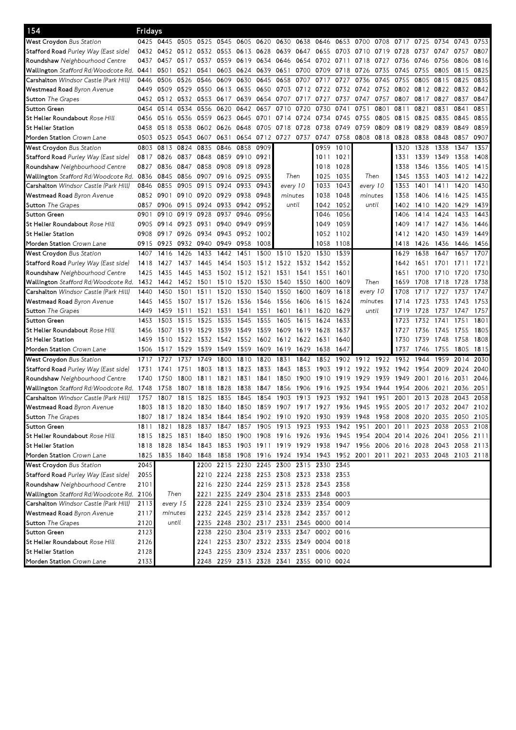| 154                                          | Fridays   |                                                                                           |           |                |           |                |           |                                         |                |      |           |                                                                       |           |                |      |                     |      |           |
|----------------------------------------------|-----------|-------------------------------------------------------------------------------------------|-----------|----------------|-----------|----------------|-----------|-----------------------------------------|----------------|------|-----------|-----------------------------------------------------------------------|-----------|----------------|------|---------------------|------|-----------|
| <b>West Croydon</b> Bus Station              |           | 0425 0445                                                                                 | 0505 0525 |                | 0545      |                | 0605 0620 |                                         | 0630 0638 0646 |      | 0653      | 0700                                                                  | 0708      | 0717           | 0725 | 0734                | 0743 | 0753      |
| S <b>tafford Road</b> Purley Way (East side) | 0432      | 0452                                                                                      |           | 0512 0532 0553 |           | 0613 0628      |           | 0639 0647                               |                | 0655 | 0703      | 0710                                                                  | 0719      | 0728           | 0737 | 0747                | 0757 | 0807      |
| <b>Roundshaw</b> Neighbourhood Centre        | 0437      | 0457                                                                                      | 0517      | 0537           | 0559      | 0619           | 0634      | 0646                                    | 0654           | 0702 | 0711      | 0718                                                                  | 0727      | 0736           | 0746 | 0756                | 0806 | 0816      |
| Wallington Stafford Rd/Woodcote Rd.          | 0441      | 0501                                                                                      | 0521      | 0541           | 0603      | 0624           | 0639      | 0651                                    | 0700           | 0709 | 0718      | 0726                                                                  | 0735      | 0745           | 0755 | 0805                | 0815 | 0825      |
| <b>Carshalton</b> Windsor Castle (Park Hill) | 0446      | 0506                                                                                      | 0526      | 0546           | 0609      | 0630           | 0645      | 0658                                    | 0707           | 0717 | 0727      | 0736                                                                  | 0745      | 0755           | 0805 | 0815                | 0825 | 0835      |
| <b>Westmead Road</b> Byron Avenue            | 0449      | 0509                                                                                      | 0529      | 0550           | 0613      | 0635           | 0650      |                                         | 0703 0712 0722 |      |           | 0732 0742                                                             | 0752      | 0802 0812 0822 |      |                     | 0832 | 0842      |
| <b>Sutton</b> The Grapes                     | 0452      | 0512                                                                                      | 0532      | 0553           | 0617      | 0639           | 0654      | 0707                                    | 0717           | 0727 | 0737      | 0747                                                                  | 0757      | 0807           | 0817 | 0827                | 0837 | 0847      |
| Sutton Green                                 | 0454      | 0514                                                                                      | 0534      | 0556           | 0620      | 0642           | 0657      | 0710                                    | 0720           | 0730 | 0741      | 0751                                                                  | 0801      | 0811           | 0821 | 0831                | 0841 | 0851      |
| St Helier Roundabout <i>Rose Hill</i>        | 0456      | 0516                                                                                      | 0536 0559 |                | 0623      | 0645           | 0701      | 0714                                    | 0724           | 0734 | 0745      | 0755                                                                  | 0805      | 0815           | 0825 | 0835                | 0845 | 0855      |
| St Helier Station                            | 0458      | 0518                                                                                      | 0538      | 0602           | 0626      | 0648           | 0705      | 0718                                    | 0728           | 0738 | 0749      | 0759                                                                  | 0809      | 0819           | 0829 | 0839                | 0849 | 0859      |
| Morden Station Crown Lane                    | 0503      | 0523                                                                                      | 0543 0607 |                | 0631      |                | 0654 0712 | 0727                                    | 0737           | 0747 | 0758      |                                                                       | 0808 0818 | 0828           | 0838 | 0848                | 0857 | 0907      |
| West Croydon Bus Station                     | 0803      | 0813                                                                                      | 0824      | 0835           | 0846      | 0858           | 0909      |                                         |                | 0959 | 1010      |                                                                       |           | 1320           | 1328 | 1338                | 1347 | 1357      |
| S <b>tafford Road</b> Purley Way (East side) | 0817      | 0826                                                                                      | 0837 0848 |                |           | 0859 0910 0921 |           |                                         |                | 1011 | 1021      |                                                                       |           | 1331           |      | 1339 1349           | 1358 | 1408      |
| <b>Roundshaw</b> Neighbourhood Centre        | 0827      | 0836                                                                                      | 0847      | 0858           | 0908      | 0918 0928      |           |                                         |                | 1018 | 1028      |                                                                       |           | 1338           | 1346 | 1356                | 1405 | 1415      |
| <b>Wallington</b> Stafford Rd/Woodcote Rd.   | 0836      | 0845                                                                                      | 0856 0907 |                |           | 0916 0925 0935 |           | Then                                    |                | 1025 | 1035      | Then                                                                  |           | 1345           | 1353 | 1403                | 1412 | 1422      |
| <b>Carshalton</b> Windsor Castle (Park Hill) | 0846      | 0855                                                                                      | 0905      | 0915           | 0924      | 0933           | 0943      | every 10                                |                | 1033 | 1043      | every 10                                                              |           | 1353           | 1401 | 1411                | 1420 | 1430      |
| <b>Westmead Road</b> Byron Avenue            | 0852      | 0901                                                                                      | 0910 0920 |                | 0929      | 0938           | 0948      | minutes                                 |                | 1038 | 1048      | minutes                                                               |           | 1358           | 1406 | 1416                | 1425 | 1435      |
| S <b>utton</b> The Grapes                    | 0857      | 0906                                                                                      | 0915      | 0924           | 0933      | 0942           | 0952      | until                                   |                | 1042 | 1052      | until                                                                 |           | 1402           | 1410 | 1420                | 1429 | 1439      |
| Sutton Green                                 | 0901      | 0910                                                                                      | 0919 0928 |                | 0937      | 0946           | 0956      |                                         |                | 1046 | 1056      |                                                                       |           | 1406           | 1414 | 1424                | 1433 | 1443      |
| St Helier Roundabout <i>Rose Hill</i>        | 0905      | 0914                                                                                      | 0923 0931 |                | 0940      | 0949           | 0959      |                                         |                | 1049 | 1059      |                                                                       |           | 1409           |      | 1417 1427           | 1436 | 1446      |
| St Helier Station                            | 0908      | 0917                                                                                      | 0926      | 0934           | 0943      | 0952           | 1002      |                                         |                | 1052 | 1102      |                                                                       |           | 1412           | 1420 | 1430                | 1439 | 1449      |
| <b>Morden Station</b> Crown Lane             | 0915      | 0923                                                                                      | 0932 0940 |                | 0949      | 0958           | 1008      |                                         |                | 1058 | 1108      |                                                                       |           | 1418           | 1426 | 1436                | 1446 | 1456      |
| West Croydon Bus Station                     | 1407      | 1416                                                                                      | 1426      | 1433           | 1442      | 1451           | 1500      | 1510                                    | 1520           | 1530 | 1539      |                                                                       |           | 1629           | 1638 | 1647                | 1657 | 1707      |
| S <b>tafford Road</b> Purley Way (East side) | 1418      | 1427                                                                                      | 1437      | 1445           | 1454      | 1503           | 1512      | 1522                                    | 1532           | 1542 | 1552      |                                                                       |           | 1642           | 1651 | 1701                | 1711 | 1721      |
| Roundshaw Neighbourhood Centre               | 1425      | 1435                                                                                      | 1445      | 1453           | 1502      | 1512           | 1521      | 1531                                    | 1541           | 1551 | 1601      |                                                                       |           | 1651           | 1700 | 1710                | 1720 | 1730      |
| Wallington Stafford Rd/Woodcote Rd.          | 1432      | 1442                                                                                      | 1452 1501 |                | 1510      | 1520           | 1530      | 1540                                    | 1550           | 1600 | 1609      | Then                                                                  |           | 1659           | 1708 | 1718                | 1728 | 1738      |
| <b>Carshalton</b> Windsor Castle (Park Hill) | 1440      | 1450                                                                                      | 1501      | 1511           | 1520      | 1530           | 1540      | 1550                                    | 1600           | 1609 | 1618      | every 10                                                              |           | 1708           | 1717 | 1727                | 1737 | 1747      |
| <b>Westmead Road</b> Byron Avenue            | 1445      | 1455                                                                                      | 1507      | 1517           | 1526      | 1536           | 1546      | 1556                                    | 1606           | 1615 | 1624      | minutes                                                               |           | 1714           | 1723 | 1733                | 1743 | 1753      |
| <b>Sutton</b> The Grapes                     | 1449      | 1459                                                                                      | 1511      | 1521           | 1531      | 1541           | 1551      | 1601                                    | 1611           | 1620 | 1629      | until                                                                 |           | 1719           | 1728 | 1737                | 1747 | 1757      |
| Sutton Green                                 | 1453      | 1503                                                                                      | 1515      | 1525           | 1535      | 1545           | 1555      | 1605                                    | 1615           | 1624 | 1633      |                                                                       |           | 1723           | 1732 | 1741                | 1751 | 1801      |
| <b>St Helier Roundabout</b> <i>Rose Hill</i> | 1456      | 1507                                                                                      | 1519      | 1529           | 1539      | 1549           | 1559      | 1609                                    | 1619           | 1628 | 1637      |                                                                       |           | 1727           | 1736 | 1745                | 1755 | 1805      |
| St Helier Station                            | 1459      | 1510                                                                                      | 1522 1532 |                | 1542      | 1552           | 1602      | 1612 1622                               |                | 1631 | 1640      |                                                                       |           | 1730           | 1739 | 1748                | 1758 | 1808      |
| <b>Morden Station</b> Crown Lane             | 1506      | 1517                                                                                      | 1529      | 1539           | 1549      | 1559           | 1609      | 1619                                    | 1629           | 1638 | 1647      |                                                                       |           | 1737           | 1746 | 1755                | 1805 | 1815      |
| <b>West Croydon</b> Bus Station              | 1717      | 1727                                                                                      | 1737      | 1749           | 1800      | 1810           | 1820      | 1831                                    | 1842           | 1852 | 1902      | 1912                                                                  | 1922      | 1932           | 1944 | 1959                | 2014 | 2030      |
| S <b>tafford Road</b> Purley Way (East side) | 1731      | 1741                                                                                      | 1751      | 1803           | 1813      | 1823           | 1833      | 1843                                    | 1853           | 1903 | 1912      | 1922                                                                  | 1932      | 1942           | 1954 | 2009                | 2024 | 2040      |
| Roundshaw Neighbourhood Centre               | 1740      | 1750                                                                                      | 1800      | 1811           | 1821      | 1831           | 1841      | 1850                                    | 1900           | 1910 | 1919      | 1929                                                                  | 1939      | 1949           | 2001 | 2016                | 2031 | 2046      |
| <b>Wallington</b> Stafford Rd/Woodcote Rd.   | 1748      | 1758                                                                                      | 1807      | 1818           | 1828      | 1838           | 1847      | 1856                                    | 1906           | 1916 | 1925      | 1934                                                                  | 1944      | 1954           | 2006 | 2021                | 2036 | 2051      |
| <b>Carshalton</b> Windsor Castle (Park Hill) | 1757      | 1807                                                                                      | 1815      | 1825           | 1835      | 1845           | 1854      | 1903                                    | 19<br>13       | 1923 | 1932      | 1941                                                                  | 1951      | 2001           | 2013 | 2028                | 2043 | 2058      |
| <b>Westmead Road</b> Byron Avenue            | 1803      | 1813                                                                                      | 1820 1830 |                | 1840      | 1850           | 1859      |                                         |                |      |           | 1907 1917 1927 1936 1945 1955                                         |           | 2005           |      | 2017 2032 2047 2102 |      |           |
| <b>Sutton</b> The Grapes                     | 1807      | 1817                                                                                      |           |                |           |                |           |                                         |                |      |           | 1824 1834 1844 1854 1902 1910 1920 1930 1939 1948 1958 2008 2020 2035 |           |                |      |                     |      | 2050 2105 |
| Sutton Green                                 | 1811 1821 |                                                                                           |           | 1828 1837      |           |                |           |                                         |                |      |           | 1847 1857 1905 1913 1923 1933 1942 1951 2001 2011                     |           |                |      | 2023 2038           |      | 2053 2108 |
| St Helier Roundabout <i>Rose Hill</i>        | 1815      | 1825 1831 1840                                                                            |           |                |           |                |           |                                         |                |      |           | 1850 1900 1908 1916 1926 1936 1945 1954 2004 2014 2026 2041 2056 2111 |           |                |      |                     |      |           |
| St Helier Station                            |           | 1818 1828 1834 1843 1853 1903 1911 1919 1929 1938 1947 1956 2006 2016 2028 2043 2058 2113 |           |                |           |                |           |                                         |                |      |           |                                                                       |           |                |      |                     |      |           |
| Morden Station Crown Lane                    | 1825      | 1835 1840 1848 1858 1908 1916 1924 1934 1943 1952 2001 2011 2021 2033 2048 2103 2118      |           |                |           |                |           |                                         |                |      |           |                                                                       |           |                |      |                     |      |           |
| West Croydon Bus Station                     | 2045      |                                                                                           |           | 2200           |           |                |           | 2215 2230 2245 2300 2315 2330 2345      |                |      |           |                                                                       |           |                |      |                     |      |           |
| Stafford Road Purley Way (East side)         | 2055      |                                                                                           |           |                |           |                |           | 2210 2224 2238 2253 2308 2323 2338 2353 |                |      |           |                                                                       |           |                |      |                     |      |           |
| Roundshaw Neighbourhood Centre               | 2101      |                                                                                           |           |                |           |                |           | 2216 2230 2244 2259 2313 2328 2343 2358 |                |      |           |                                                                       |           |                |      |                     |      |           |
| Wallington Stafford Rd/Woodcote Rd. 2106     |           | Then                                                                                      |           |                |           |                |           | 2221 2235 2249 2304 2318 2333 2348 0003 |                |      |           |                                                                       |           |                |      |                     |      |           |
| <b>Carshalton</b> Windsor Castle (Park Hill) | 2113      | every 15                                                                                  |           |                | 2228 2241 |                |           | 2255 2310 2324 2339 2354 0009           |                |      |           |                                                                       |           |                |      |                     |      |           |
| Westmead Road Byron Avenue                   | 2117      | minutes                                                                                   |           |                |           |                |           | 2232 2245 2259 2314 2328 2342 2357 0012 |                |      |           |                                                                       |           |                |      |                     |      |           |
| <b>Sutton</b> The Grapes                     | 2120      | until                                                                                     |           | 2235           |           |                |           | 2248 2302 2317 2331 2345 0000 0014      |                |      |           |                                                                       |           |                |      |                     |      |           |
| Sutton Green                                 | 2123      |                                                                                           |           | 2238           |           |                |           | 2250 2304 2319 2333 2347                |                |      | 0002 0016 |                                                                       |           |                |      |                     |      |           |
| St Helier Roundabout <i>Rose Hill</i>        | 2126      |                                                                                           |           |                |           |                |           | 2241 2253 2307 2322 2335 2349 0004 0018 |                |      |           |                                                                       |           |                |      |                     |      |           |
| St Helier Station                            | 2128      |                                                                                           |           |                |           |                |           | 2243 2255 2309 2324 2337 2351 0006 0020 |                |      |           |                                                                       |           |                |      |                     |      |           |
| Morden Station Crown Lane                    | 2133      |                                                                                           |           |                |           |                |           | 2248 2259 2313 2328 2341 2355 0010 0024 |                |      |           |                                                                       |           |                |      |                     |      |           |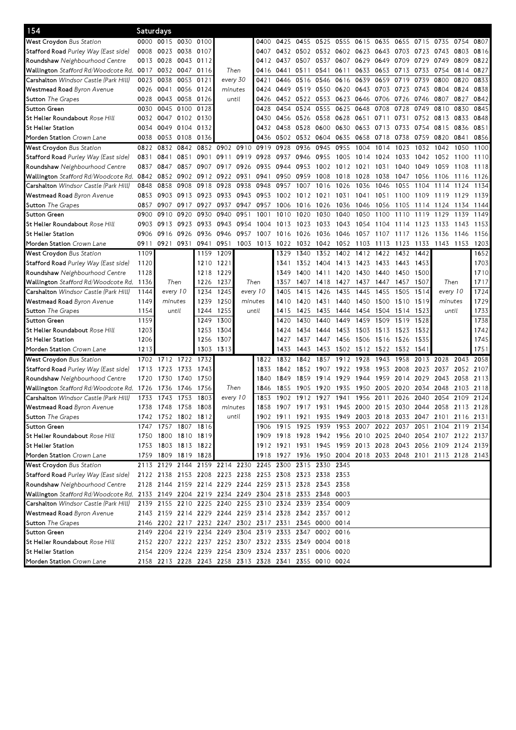| 154                                                                                        | Saturdays |                     |                |      |                |          |                                                        |                |           |                                              |                     |           |      |      |      |                                                             |      |           |
|--------------------------------------------------------------------------------------------|-----------|---------------------|----------------|------|----------------|----------|--------------------------------------------------------|----------------|-----------|----------------------------------------------|---------------------|-----------|------|------|------|-------------------------------------------------------------|------|-----------|
| West Croydon Bus Station                                                                   | 0000      | 0015 0030 0100      |                |      |                |          | 0400                                                   | 0425           | 0455 0525 |                                              | 0555                | 0615 0635 |      | 0655 | 0715 | 0735                                                        | 0754 | 0807      |
| S <b>tafford Road</b> Purley Way (East side)                                               | 0008      | 0023                | 0038 0107      |      |                |          | 0407                                                   | 0432 0502 0532 |           |                                              | 0602 0623 0643      |           |      | 0703 | 0723 | 0743                                                        | 0803 | 0816      |
| <b>Roundshaw</b> Neighbourhood Centre                                                      | 0013      | 0028                | 0043 0112      |      |                |          | 0412                                                   | 0437           | 0507      | 0537                                         | 0607                | 0629      | 0649 | 0709 | 0729 | 0749                                                        | 0809 | 0822      |
| <b>Wallington</b> Stafford Rd/Woodcote Rd.                                                 | 0017      | 0032                | 0047           | 0116 | Then           |          | 0416                                                   | 0441           | 0511      | 0541                                         | 0611                | 0633      | 0653 | 0713 | 0733 | 0754                                                        | 0814 | 0827      |
| <b>Carshalton</b> Windsor Castle (Park Hill)                                               | 0023      | 0038                | 0053 0121      |      | every 30       |          | 0421                                                   | 0446           | 0516      | 0546                                         | 0616                | 0639      | 0659 | 0719 | 0739 | 0800                                                        | 0820 | 0833      |
| <b>Westmead Road</b> Byron Avenue                                                          | 0026      | 0041                | 0056 0124      |      | minutes        |          | 0424                                                   | 0449           | 0519      | 0550                                         | 0620                | 0643      | 0703 | 0723 | 0743 | 0804                                                        | 0824 | 0838      |
| <b>Sutton</b> The Grapes                                                                   | 0028      | 0043                | 0058           | 0126 | until          |          | 0426                                                   | 0452 0522      |           | 0553                                         | 0623                | 0646 0706 |      | 0726 | 0746 | 0807                                                        | 0827 | 0842      |
| Sutton Green                                                                               | 0030      | 0045                | 0100 0128      |      |                |          | 0428                                                   | 0454 0524      |           | 0555                                         | 0625                | 0648      | 0708 | 0728 |      | 0749 0810                                                   | 0830 | 0845      |
| St Helier Roundabout Rose Hill                                                             | 0032      | 0047                | 0102 0130      |      |                |          | 0430                                                   | 0456 0526      |           | 0558                                         | 0628                | 0651      | 0711 | 0731 |      | 0752 0813                                                   | 0833 | 0848      |
| St Helier Station                                                                          | 0034      | 0049                | 0104 0132      |      |                |          | 0432                                                   | 0458           | 0528      | 0600                                         | 0630                | 0653      | 0713 | 0733 |      | 0754 0815                                                   | 0836 | 0851      |
| <b>Morden Station</b> Crown Lane                                                           | 0038      | 0053                | 0108           | 0136 |                |          | 0436                                                   | 0502           | 0532      | 0604                                         | 0635                | 0658      | 0718 | 0738 | 0759 | 0820                                                        | 0841 | 0856      |
| <b>West Croydon</b> Bus Station                                                            | 0822      | 0832                | 0842           |      | 0852 0902 0910 |          | 0919                                                   | 0928           | 0936      | 0945                                         | 0955                | 1004      | 1014 | 1023 | 1032 | 1042                                                        | 1050 | 1100      |
| S <b>tafford Road</b> Purley Way (East side)                                               | 0831      | 0841                | 0851           | 0901 | 0911           |          | 0919 0928                                              | 0937           | 0946      | 0955                                         | 1005                | 1014      | 1024 | 1033 | 1042 | 1052                                                        | 1100 | 1110      |
| <b>Roundshaw</b> Neighbourhood Centre                                                      | 0837      | 0847                | 0857           | 0907 | 0917           | 0926     | 0935                                                   | 0944           | 0953      | 1002                                         | 1012                | 1021      | 1031 | 1040 | 1049 | 1059                                                        | 1108 | 1118      |
| Wallington <i>Stafford Rd/Woodcote Rd.</i> 0842                                            |           | 0852                | 0902 0912      |      | 0922 0931      |          | 0941                                                   | 0950           | 0959      | 1008                                         | 1018                | 1028      | 1038 | 1047 | 1056 | 1106                                                        | 1116 | 1126      |
| <b>Carshalton</b> Windsor Castle (Park Hill)                                               | 0848      | 0858                | 0908           | 0918 | 0928           | 0938     | 0948                                                   | 0957           | 1007      | 1016                                         | 1026                | 1036      | 1046 | 1055 | 1104 | 1114                                                        | 1124 | 1134      |
| <b>Westmead Road</b> Byron Avenue                                                          | 0853      | 0903                | 0913 0923      |      | 0933           | 0943     | 0953                                                   | 1002           | 1012      | 1021                                         | 1031                | 1041      | 1051 | 1100 | 1109 | 1119                                                        | 1129 | 1139      |
|                                                                                            | 0857      | 0907                | 0917 0927      |      | 0937           | 0947     | 0957                                                   | 1006           |           |                                              |                     |           |      |      | 1114 |                                                             |      | 1144      |
| <b>Sutton</b> The Grapes                                                                   |           | 0910                |                |      | 0940           |          |                                                        |                | 1016      | 1026                                         | 1036                | 1046      | 1056 | 1105 |      | 1124                                                        | 1134 |           |
| Sutton Green                                                                               | 0900      |                     | 0920           | 0930 |                | 0951     | 1001                                                   | 1010           | 1020      | 1030                                         | 1040                | 1050      | 1100 | 1110 | 1119 | 1129                                                        | 1139 | 1149      |
| <b>St Helier Roundabout</b> <i>Rose Hill</i>                                               | 0903      | 0913                | 0923<br>0926   | 0933 | 0943           | 0954     | 1004                                                   | 1013           | 1023      | 1033                                         | 1043                | 1054      | 1104 | 1114 | 1123 | 1133                                                        | 1143 | 1153      |
| St Helier Station                                                                          | 0906      | 0916                |                | 0936 | 0946           | 0957     | 1007                                                   | 1016           | 1026      | 1036                                         | 1046                | 1057      | 1107 | 1117 | 1126 | 1136                                                        | 1146 | 1156      |
| <b>Morden Station</b> Crown Lane                                                           | 0911      | 0921                | 0931           | 0941 | 0951           |          | 1003 1013                                              | 1022           | 1032      | 1042                                         | 1052                | 1103      | 1113 | 1123 | 1133 | 1143                                                        | 1153 | 1203      |
| West Croydon Bus Station                                                                   | 1109      |                     |                | 1159 | 1209           |          |                                                        | 1329           | 1340      | 1352                                         | 1402                | 1412      | 1422 | 1432 | 1442 |                                                             |      | 1652      |
| S <b>tafford Road</b> Purley Way (East side)                                               | 1120      |                     |                | 1210 | 1221           |          |                                                        | 1341           | 1352      | 1404                                         | 1413                | 1423      | 1433 | 1443 | 1453 |                                                             |      | 1703      |
| Roundshaw Neighbourhood Centre                                                             | 1128      |                     |                | 1218 | 1229           |          |                                                        | 1349           | 1400      | 1411                                         | 1420                | 1430      | 1440 | 1450 | 1500 |                                                             |      | 1710      |
| <b>Wallington</b> Stafford Rd/Woodcote Rd. 1136                                            |           | Then                |                | 1226 | 1237           |          | Then                                                   | 1357           | 1407      | 1418                                         | 1427                | 1437      | 1447 | 1457 | 1507 | Then                                                        |      | 1717      |
| <b>Carshalton</b> Windsor Castle (Park Hill)                                               | 1144      | every 10            |                | 1234 | 1245           | every 10 |                                                        | 1405           | 1415      | 1426                                         | 1435                | 1445      | 1455 | 1505 | 1514 | every 10                                                    |      | 1724      |
| <b>Westmead Road</b> Byron Avenue                                                          | 1149      | minutes             |                | 1239 | 1250           | minutes  |                                                        | 1410           | 1420      | 1431                                         | 1440                | 1450      | 1500 | 1510 | 1519 | minutes                                                     |      | 1729      |
| <b>Sutton</b> The Grapes                                                                   | 1154      | until               |                | 1244 | 1255           |          | until                                                  | 1415           | 1425      | 1435                                         | 1444                | 1454      | 1504 | 1514 | 1523 | until                                                       |      | 1733      |
| Sutton Green                                                                               | 1159      |                     |                | 1249 | 1300           |          |                                                        | 1420           | 1430      | 1440                                         | 1449                | 1459      | 1509 | 1519 | 1528 |                                                             |      | 1738      |
| <b>St Helier Roundabout</b> <i>Rose Hill</i>                                               | 1203      |                     |                | 1253 | 1304           |          |                                                        | 1424           | 1434      | 1444                                         | 1453 1503 1513      |           |      | 1523 | 1532 |                                                             |      | 1742      |
| St Helier Station                                                                          | 1206      |                     |                | 1256 | 1307           |          |                                                        | 1427           | 1437      | 1447                                         | 1456                | 1506      | 1516 | 1526 | 1535 |                                                             |      | 1745      |
| <b>Morden Station</b> Crown Lane                                                           | 1213      |                     |                | 1303 | 1313           |          |                                                        | 1433           | 1443      | 1453                                         | 1502 1512 1522 1532 |           |      |      | 1541 |                                                             |      | 1751      |
| <b>West Croydon</b> Bus Station                                                            | 1702      |                     | 1712 1722 1732 |      |                |          | 1822                                                   | 1832           | 1842      | 1857                                         | 1912                | 1928      | 1943 | 1958 | 2013 | 2028                                                        | 2043 | 2058      |
| Stafford Road Purley Way (East side)                                                       | 1713      | 1723                | 1733           | 1743 |                |          | 1833                                                   | 1842           | 1852      | 1907                                         | 1922                | 1938      | 1953 | 2008 | 2023 | 2037                                                        | 2052 | 2107      |
| <b>Roundshaw</b> Neighbourhood Centre                                                      | 1720      | 1730                | 1740           | 1750 |                |          | 1840                                                   | 1849           | 1859      | 1914                                         | 1929                | 1944      | 1959 | 2014 | 2029 | 2043                                                        | 2058 | 2113      |
| <b>Wallington</b> Stafford Rd/Woodcote Rd.                                                 | 1726      | 1736                | 1746           | 1756 | Then           |          | 1846                                                   | 1855           | 1905      | 1920                                         | 1935                | 1950      | 2005 | 2020 |      | 2034 2048                                                   | 2103 | 2118      |
| <b>Carshalton</b> Windsor Castle (Park Hill)                                               | 1733      | 1743                | 1753           | 1803 | every 10       |          | 1853                                                   | 1902           | 191<br>2  | 1927                                         | 1941                | 1956      | 2011 | 2026 | 2040 | 2054                                                        | 2109 | 2124      |
| <b>Westmead Road</b> Byron Avenue                                                          | 1738      | 1748 1758 1808      |                |      | minutes        |          | 1858                                                   |                |           | 1907 1917 1931 1945 2000 2015 2030 2044 2058 |                     |           |      |      |      |                                                             |      | 2113 2128 |
| <b>Sutton</b> The Grapes                                                                   |           | 1742 1752 1802 1812 |                |      |                | until    |                                                        |                |           |                                              |                     |           |      |      |      | 1902 1911 1921 1935 1949 2003 2018 2033 2047 2101 2116 2131 |      |           |
| Sutton Green                                                                               |           | 1747 1757 1807 1816 |                |      |                |          |                                                        |                |           |                                              |                     |           |      |      |      | 1906 1915 1925 1939 1953 2007 2022 2037 2051 2104 2119 2134 |      |           |
| <b>St Helier Roundabout</b> <i>Rose Hill</i>                                               |           | 1750 1800 1810 1819 |                |      |                |          |                                                        |                |           |                                              |                     |           |      |      |      | 1909 1918 1928 1942 1956 2010 2025 2040 2054 2107 2122 2137 |      |           |
| St Helier Station                                                                          |           | 1753 1803 1813 1822 |                |      |                |          |                                                        |                |           |                                              |                     |           |      |      |      | 1912 1921 1931 1945 1959 2013 2028 2043 2056 2109 2124 2139 |      |           |
| Morden Station Crown Lane                                                                  |           | 1759 1809 1819 1828 |                |      |                |          |                                                        |                |           |                                              |                     |           |      |      |      | 1918 1927 1936 1950 2004 2018 2033 2048 2101 2113 2128 2143 |      |           |
| West Croydon Bus Station                                                                   |           |                     |                |      |                |          | 2113 2129 2144 2159 2214 2230 2245 2300 2315 2330 2345 |                |           |                                              |                     |           |      |      |      |                                                             |      |           |
| Stafford Road Purley Way (East side)                                                       |           |                     |                |      |                |          | 2122 2138 2153 2208 2223 2238 2253 2308 2323 2338 2353 |                |           |                                              |                     |           |      |      |      |                                                             |      |           |
| Roundshaw Neighbourhood Centre                                                             |           |                     |                |      |                |          | 2128 2144 2159 2214 2229 2244 2259 2313 2328 2343 2358 |                |           |                                              |                     |           |      |      |      |                                                             |      |           |
| Wallington Stafford Rd/Woodcote Rd. 2133 2149 2204 2219 2234 2249 2304 2318 2333 2348 0003 |           |                     |                |      |                |          |                                                        |                |           |                                              |                     |           |      |      |      |                                                             |      |           |
| Carshalton Windsor Castle (Park Hill)                                                      |           |                     |                |      |                |          | 2139 2155 2210 2225 2240 2255 2310 2324 2339 2354 0009 |                |           |                                              |                     |           |      |      |      |                                                             |      |           |
| <b>Westmead Road</b> Byron Avenue                                                          |           |                     |                |      |                |          | 2143 2159 2214 2229 2244 2259 2314 2328 2342 2357 0012 |                |           |                                              |                     |           |      |      |      |                                                             |      |           |
| Sutton The Grapes                                                                          |           |                     |                |      |                |          | 2146 2202 2217 2232 2247 2302 2317 2331                |                | 2345 0000 |                                              | 0014                |           |      |      |      |                                                             |      |           |
| Sutton Green                                                                               |           |                     |                |      |                |          | 2149 2204 2219 2234 2249 2304 2319 2333 2347 0002 0016 |                |           |                                              |                     |           |      |      |      |                                                             |      |           |
| St Helier Roundabout <i>Rose Hill</i>                                                      |           |                     |                |      |                |          | 2152 2207 2222 2237 2252 2307 2322 2335 2349 0004 0018 |                |           |                                              |                     |           |      |      |      |                                                             |      |           |
| St Helier Station                                                                          |           |                     |                |      |                |          | 2154 2209 2224 2239 2254 2309 2324 2337 2351 0006 0020 |                |           |                                              |                     |           |      |      |      |                                                             |      |           |
|                                                                                            |           |                     |                |      |                |          |                                                        |                |           |                                              |                     |           |      |      |      |                                                             |      |           |
| Morden Station Crown Lane                                                                  |           |                     |                |      |                |          | 2158 2213 2228 2243 2258 2313 2328 2341 2355 0010 0024 |                |           |                                              |                     |           |      |      |      |                                                             |      |           |